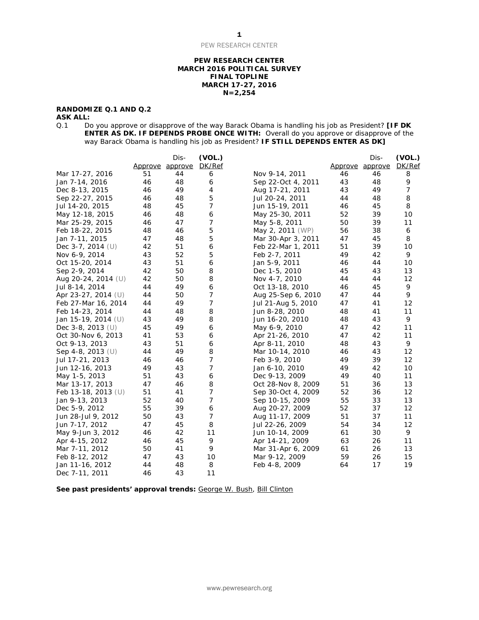#### **PEW RESEARCH CENTER MARCH 2016 POLITICAL SURVEY FINAL TOPLINE MARCH 17-27, 2016 N=2,254**

### **RANDOMIZE Q.1 AND Q.2**

**ASK ALL:**<br>Q.1 Do Q.1 Do you approve or disapprove of the way Barack Obama is handling his job as President? **[IF DK ENTER AS DK. IF DEPENDS PROBE ONCE WITH:** Overall do you approve or disapprove of the way Barack Obama is handling his job as President? **IF STILL DEPENDS ENTER AS DK]**

|                       |    | Dis-            | (VOL.)         |                    |    | Dis-            | (VOL.)         |
|-----------------------|----|-----------------|----------------|--------------------|----|-----------------|----------------|
|                       |    | Approve approve | DK/Ref         |                    |    | Approve approve | DK/Ref         |
| Mar 17-27, 2016       | 51 | 44              | 6              | Nov 9-14, 2011     | 46 | 46              | 8              |
| Jan 7-14, 2016        | 46 | 48              | 6              | Sep 22-Oct 4, 2011 | 43 | 48              | 9              |
| Dec 8-13, 2015        | 46 | 49              | 4              | Aug 17-21, 2011    | 43 | 49              | $\overline{7}$ |
| Sep 22-27, 2015       | 46 | 48              | 5              | Jul 20-24, 2011    | 44 | 48              | 8              |
| Jul 14-20, 2015       | 48 | 45              | 7              | Jun 15-19, 2011    | 46 | 45              | 8              |
| May 12-18, 2015       | 46 | 48              | 6              | May 25-30, 2011    | 52 | 39              | 10             |
| Mar 25-29, 2015       | 46 | 47              | 7              | May 5-8, 2011      | 50 | 39              | 11             |
| Feb 18-22, 2015       | 48 | 46              | 5              | May 2, 2011 (WP)   | 56 | 38              | 6              |
| Jan 7-11, 2015        | 47 | 48              | 5              | Mar 30-Apr 3, 2011 | 47 | 45              | 8              |
| Dec 3-7, 2014 $(U)$   | 42 | 51              | 6              | Feb 22-Mar 1, 2011 | 51 | 39              | 10             |
| Nov 6-9, 2014         | 43 | 52              | 5              | Feb 2-7, 2011      | 49 | 42              | 9              |
| Oct 15-20, 2014       | 43 | 51              | 6              | Jan 5-9, 2011      | 46 | 44              | 10             |
| Sep 2-9, 2014         | 42 | 50              | 8              | Dec 1-5, 2010      | 45 | 43              | 13             |
| Aug 20-24, 2014 (U)   | 42 | 50              | 8              | Nov 4-7, 2010      | 44 | 44              | 12             |
| Jul 8-14, 2014        | 44 | 49              | 6              | Oct 13-18, 2010    | 46 | 45              | 9              |
| Apr 23-27, 2014 (U)   | 44 | 50              | 7              | Aug 25-Sep 6, 2010 | 47 | 44              | 9              |
| Feb 27-Mar 16, 2014   | 44 | 49              | 7              | Jul 21-Aug 5, 2010 | 47 | 41              | 12             |
| Feb 14-23, 2014       | 44 | 48              | 8              | Jun 8-28, 2010     | 48 | 41              | 11             |
| Jan 15-19, 2014 (U)   | 43 | 49              | 8              | Jun 16-20, 2010    | 48 | 43              | 9              |
| Dec 3-8, 2013 $(U)$   | 45 | 49              | 6              | May 6-9, 2010      | 47 | 42              | 11             |
| Oct 30-Nov 6, 2013    | 41 | 53              | 6              | Apr 21-26, 2010    | 47 | 42              | 11             |
| Oct 9-13, 2013        | 43 | 51              | 6              | Apr 8-11, 2010     | 48 | 43              | 9              |
| Sep 4-8, 2013 (U)     | 44 | 49              | 8              | Mar 10-14, 2010    | 46 | 43              | 12             |
| Jul 17-21, 2013       | 46 | 46              | 7              | Feb 3-9, 2010      | 49 | 39              | 12             |
| Jun 12-16, 2013       | 49 | 43              | 7              | Jan 6-10, 2010     | 49 | 42              | 10             |
| May 1-5, 2013         | 51 | 43              | 6              | Dec 9-13, 2009     | 49 | 40              | 11             |
| Mar 13-17, 2013       | 47 | 46              | 8              | Oct 28-Nov 8, 2009 | 51 | 36              | 13             |
| Feb 13-18, 2013 $(U)$ | 51 | 41              | 7              | Sep 30-Oct 4, 2009 | 52 | 36              | 12             |
| Jan 9-13, 2013        | 52 | 40              | 7              | Sep 10-15, 2009    | 55 | 33              | 13             |
| Dec 5-9, 2012         | 55 | 39              | 6              | Aug 20-27, 2009    | 52 | 37              | 12             |
| Jun 28-Jul 9, 2012    | 50 | 43              | $\overline{7}$ | Aug 11-17, 2009    | 51 | 37              | 11             |
| Jun 7-17, 2012        | 47 | 45              | 8              | Jul 22-26, 2009    | 54 | 34              | 12             |
| May 9-Jun 3, 2012     | 46 | 42              | 11             | Jun 10-14, 2009    | 61 | 30              | 9              |
| Apr 4-15, 2012        | 46 | 45              | 9              | Apr 14-21, 2009    | 63 | 26              | 11             |
| Mar 7-11, 2012        | 50 | 41              | 9              | Mar 31-Apr 6, 2009 | 61 | 26              | 13             |
| Feb 8-12, 2012        | 47 | 43              | 10             | Mar 9-12, 2009     | 59 | 26              | 15             |
| Jan 11-16, 2012       | 44 | 48              | 8              | Feb 4-8, 2009      | 64 | 17              | 19             |
| Dec 7-11, 2011        | 46 | 43              | 11             |                    |    |                 |                |

See past presidents' approval trends: [George W. Bush,](http://www.people-press.org/files/legacy-questionnaires/483.pdf) [Bill Clinton](http://www.people-press.org/files/legacy-questionnaires/18.pdf)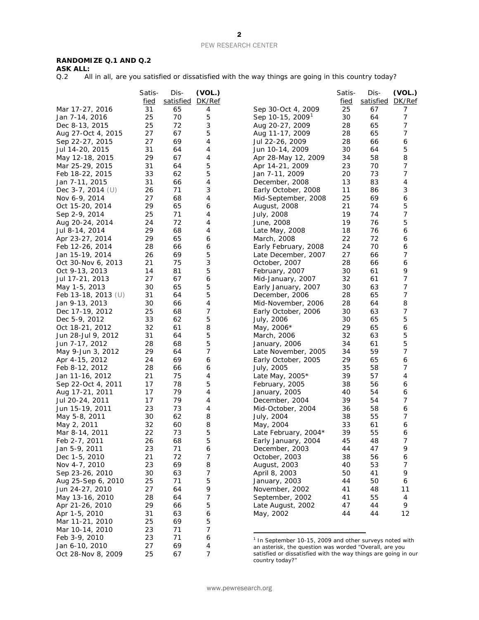## **RANDOMIZE Q.1 AND Q.2**

**ASK ALL:**<br>Q.2 **All** 

All in all, are you satisfied or dissatisfied with the way things are going in this country today?

|                       | Satis-      | Dis-      | (VOL.)      |                                                                                                                          | Satis-      | Dis-      | (VOL.) |
|-----------------------|-------------|-----------|-------------|--------------------------------------------------------------------------------------------------------------------------|-------------|-----------|--------|
|                       | <u>fied</u> | satisfied | DK/Ref      |                                                                                                                          | <u>fied</u> | satisfied | DK/Ref |
| Mar 17-27, 2016       | 31          | 65        | 4           | Sep 30-Oct 4, 2009                                                                                                       | 25          | 67        | 7      |
| Jan 7-14, 2016        | 25          | 70        | 5           | Sep 10-15, 2009                                                                                                          | 30          | 64        | 7      |
| Dec 8-13, 2015        | 25          | 72        | 3           | Aug 20-27, 2009                                                                                                          | 28          | 65        | 7      |
| Aug 27-Oct 4, 2015    | 27          | 67        | 5           | Aug 11-17, 2009                                                                                                          | 28          | 65        | 7      |
| Sep 22-27, 2015       | 27          | 69        | 4           | Jul 22-26, 2009                                                                                                          | 28          | 66        | 6      |
| Jul 14-20, 2015       | 31          | 64        | 4           | Jun 10-14, 2009                                                                                                          | 30          | 64        | 5      |
| May 12-18, 2015       | 29          | 67        | 4           | Apr 28-May 12, 2009                                                                                                      | 34          | 58        | 8      |
| Mar 25-29, 2015       | 31          | 64        | 5           | Apr 14-21, 2009                                                                                                          | 23          | 70        | 7      |
| Feb 18-22, 2015       | 33          | 62        | 5           | Jan 7-11, 2009                                                                                                           | 20          | 73        | 7      |
| Jan 7-11, 2015        | 31          | 66        | 4           | December, 2008                                                                                                           | 13          | 83        | 4      |
| Dec $3-7$ , 2014 (U)  | 26          | 71        | 3           | Early October, 2008                                                                                                      | 11          | 86        | 3      |
| Nov 6-9, 2014         | 27          | 68        | 4           | Mid-September, 2008                                                                                                      | 25          | 69        | 6      |
| Oct 15-20, 2014       | 29          | 65        | 6           | August, 2008                                                                                                             | 21          | 74        | 5      |
| Sep 2-9, 2014         | 25          | 71        | 4           | July, 2008                                                                                                               | 19          | 74        | 7      |
| Aug 20-24, 2014       | 24          | 72        | 4           | June, 2008                                                                                                               | 19          | 76        | 5      |
| Jul 8-14, 2014        | 29          | 68        | 4           | Late May, 2008                                                                                                           | 18          | 76        | 6      |
| Apr 23-27, 2014       | 29          | 65        | 6           | March, 2008                                                                                                              | 22          | 72        | 6      |
| Feb 12-26, 2014       | 28          | 66        | 6           | Early February, 2008                                                                                                     | 24          | 70        | 6      |
|                       |             | 69        | 5           | Late December, 2007                                                                                                      | 27          |           | 7      |
| Jan 15-19, 2014       | 26          |           |             |                                                                                                                          |             | 66        |        |
| Oct 30-Nov 6, 2013    | 21          | 75        | 3           | October, 2007                                                                                                            | 28          | 66        | 6      |
| Oct 9-13, 2013        | 14          | 81        | 5           | February, 2007                                                                                                           | 30          | 61        | 9      |
| Jul 17-21, 2013       | 27          | 67        | 6           | Mid-January, 2007                                                                                                        | 32          | 61        | 7      |
| May 1-5, 2013         | 30          | 65        | 5           | Early January, 2007                                                                                                      | 30          | 63        | 7      |
| Feb 13-18, 2013 $(U)$ | 31          | 64        | 5           | December, 2006                                                                                                           | 28          | 65        | 7      |
| Jan 9-13, 2013        | 30          | 66        | 4           | Mid-November, 2006                                                                                                       | 28          | 64        | 8      |
| Dec 17-19, 2012       | 25          | 68        | 7           | Early October, 2006                                                                                                      | 30          | 63        | 7      |
| Dec 5-9, 2012         | 33          | 62        | 5           | July, 2006                                                                                                               | 30          | 65        | 5      |
| Oct 18-21, 2012       | 32          | 61        | 8           | May, 2006*                                                                                                               | 29          | 65        | 6      |
| Jun 28-Jul 9, 2012    | 31          | 64        | 5           | March, 2006                                                                                                              | 32          | 63        | 5      |
| Jun 7-17, 2012        | 28          | 68        | 5           | January, 2006                                                                                                            | 34          | 61        | 5      |
| May 9-Jun 3, 2012     | 29          | 64        | 7           | Late November, 2005                                                                                                      | 34          | 59        | 7      |
| Apr 4-15, 2012        | 24          | 69        | 6           | Early October, 2005                                                                                                      | 29          | 65        | 6      |
| Feb 8-12, 2012        | 28          | 66        | 6           | July, 2005                                                                                                               | 35          | 58        | 7      |
| Jan 11-16, 2012       | 21          | 75        | 4           | Late May, 2005*                                                                                                          | 39          | 57        | 4      |
| Sep 22-Oct 4, 2011    | 17          | 78        | 5           | February, 2005                                                                                                           | 38          | 56        | 6      |
| Aug 17-21, 2011       | 17          | 79        | 4           | January, 2005                                                                                                            | 40          | 54        | 6      |
| Jul 20-24, 2011       | 17          | 79        | 4           | December, 2004                                                                                                           | 39          | 54        | 7      |
| Jun 15-19, 2011       | 23          | 73        | 4           | Mid-October, 2004                                                                                                        | 36          | 58        | 6      |
| May 5-8, 2011         | 30          | 62        | 8           | July, 2004                                                                                                               | 38          | 55        | 7      |
| May 2, 2011           | 32          | 60        | 8           | May, 2004                                                                                                                | 33          | 61        | 6      |
| Mar 8-14, 2011        | 22          | 73        | 5           | Late February, 2004*                                                                                                     | 39          | 55        | 6      |
| Feb 2-7, 2011         | 26          | 68        | 5           | Early January, 2004                                                                                                      | 45          | 48        | 7      |
| Jan 5-9, 2011         | 23          | 71        | 6           | December, 2003                                                                                                           | 44          | 47        | 9      |
| Dec 1-5, 2010         | 21          | 72        | 7           | October, 2003                                                                                                            | 38          | 56        | 6      |
| Nov 4-7, 2010         | 23          | 69        | 8           | August, 2003                                                                                                             | 40          | 53        | 7      |
| Sep 23-26, 2010       | 30          | 63        | 7           | April 8, 2003                                                                                                            | 50          | 41        | 9      |
| Aug 25-Sep 6, 2010    | 25          | 71        | 5           | January, 2003                                                                                                            | 44          | 50        | 6      |
| Jun 24-27, 2010       | 27          | 64        | 9           | November, 2002                                                                                                           | 41          | 48        | 11     |
| May 13-16, 2010       | 28          | 64        | 7           | September, 2002                                                                                                          | 41          | 55        | 4      |
| Apr 21-26, 2010       | 29          | 66        | $\mathbf 5$ | Late August, 2002                                                                                                        | 47          | 44        | 9      |
| Apr 1-5, 2010         | 31          | 63        | 6           | May, 2002                                                                                                                | 44          | 44        | 12     |
| Mar 11-21, 2010       | 25          | 69        | 5           |                                                                                                                          |             |           |        |
| Mar 10-14, 2010       | 23          | 71        | 7           |                                                                                                                          |             |           |        |
| Feb 3-9, 2010         | 23          | 71        | 6           |                                                                                                                          |             |           |        |
| Jan 6-10, 2010        | 27          | 69        | 4           | <sup>1</sup> In September 10-15, 2009 and other surveys noted with                                                       |             |           |        |
| Oct 28-Nov 8, 2009    | 25          | 67        | 7           | an asterisk, the question was worded "Overall, are you<br>satisfied or dissatisfied with the way things are going in our |             |           |        |
|                       |             |           |             |                                                                                                                          |             |           |        |

<span id="page-1-0"></span>satisfied or dissatisfied with the way things are going in our country today?"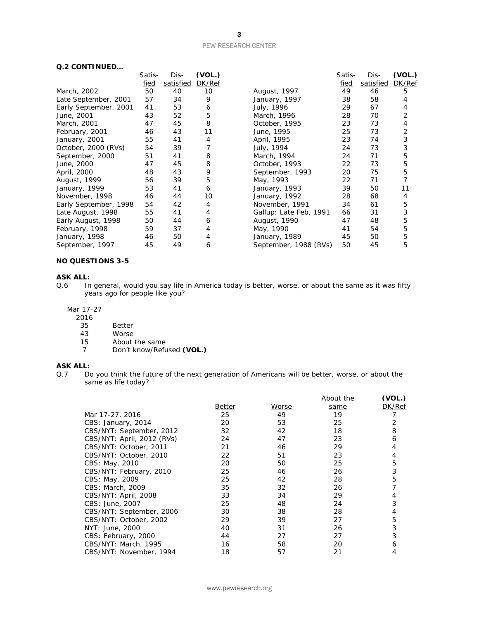| Q.2 CONTINUED         |             |           |        |                        |        |           |        |
|-----------------------|-------------|-----------|--------|------------------------|--------|-----------|--------|
|                       | Satis-      | Dis-      | (VOL.) |                        | Satis- | Dis-      | (VOL.) |
|                       | <u>fied</u> | satisfied | DK/Ref |                        | fied   | satisfied | DK/Ref |
| March, 2002           | 50          | 40        | 10     | August, 1997           | 49     | 46        | 5      |
| Late September, 2001  | 57          | 34        | 9      | January, 1997          | 38     | 58        | 4      |
| Early September, 2001 | 41          | 53        | 6      | July, 1996             | 29     | 67        | 4      |
| June, 2001            | 43          | 52        | 5      | March, 1996            | 28     | 70        | 2      |
| March, 2001           | 47          | 45        | 8      | October, 1995          | 23     | 73        | 4      |
| February, 2001        | 46          | 43        | 11     | June, 1995             | 25     | 73        | 2      |
| January, 2001         | 55          | 41        | 4      | April, 1995            | 23     | 74        | 3      |
| October, 2000 (RVs)   | 54          | 39        |        | July, 1994             | 24     | 73        | 3      |
| September, 2000       | 51          | 41        | 8      | March, 1994            | 24     | 71        | 5      |
| June, 2000            | 47          | 45        | 8      | October, 1993          | 22     | 73        | 5      |
| April, 2000           | 48          | 43        | 9      | September, 1993        | 20     | 75        | 5      |
| August, 1999          | 56          | 39        | 5      | May, 1993              | 22     | 71        |        |
| January, 1999         | 53          | 41        | 6      | January, 1993          | 39     | 50        | 11     |
| November, 1998        | 46          | 44        | 10     | January, 1992          | 28     | 68        | 4      |
| Early September, 1998 | 54          | 42        | 4      | November, 1991         | 34     | 61        | 5      |
| Late August, 1998     | 55          | 41        | 4      | Gallup: Late Feb, 1991 | 66     | 31        | 3      |
| Early August, 1998    | 50          | 44        | 6      | August, 1990           | 47     | 48        | 5      |
| February, 1998        | 59          | 37        | 4      | May, 1990              | 41     | 54        | 5      |
| January, 1998         | 46          | 50        | 4      | January, 1989          | 45     | 50        | 5      |
| September, 1997       | 45          | 49        | 6      | September, 1988 (RVs)  | 50     | 45        | 5      |

#### **NO QUESTIONS 3-5**

#### **ASK ALL:**

Q.6 In general, would you say life in America today is better, worse, or about the same as it was fifty years ago for people like you?

### Mar 17-27

- $\frac{2016}{35}$
- 35 Better<br>43 Worse
- 43 Worse<br>15 About
- 15 About the same<br>7 Don't know/Refu 7 Don't know/Refused **(VOL.)**

# **ASK ALL:**<br>Q.7 Do

Do you think the future of the next generation of Americans will be better, worse, or about the same as life today?

|                            |        |       | About the | (VOL.) |
|----------------------------|--------|-------|-----------|--------|
|                            | Better | Worse | same      | DK/Ref |
| Mar 17-27, 2016            | 25     | 49    | 19        |        |
| CBS: January, 2014         | 20     | 53    | 25        |        |
| CBS/NYT: September, 2012   | 32     | 42    | 18        | 8      |
| CBS/NYT: April, 2012 (RVs) | 24     | 47    | 23        | 6      |
| CBS/NYT: October, 2011     | 21     | 46    | 29        |        |
| CBS/NYT: October, 2010     | 22     | 51    | 23        |        |
| CBS: May, 2010             | 20     | 50    | 25        | 5      |
| CBS/NYT: February, 2010    | 25     | 46    | 26        | 3      |
| <i>CBS</i> : May, 2009     | 25     | 42    | 28        | 5      |
| CBS: March, 2009           | 35     | 32    | 26        |        |
| CBS/NYT: April, 2008       | 33     | 34    | 29        |        |
| <i>CBS: June, 2007</i>     | 25     | 48    | 24        | 3      |
| CBS/NYT: September, 2006   | 30     | 38    | 28        |        |
| CBS/NYT: October, 2002     | 29     | 39    | 27        | 5      |
| NYT: June, 2000            | 40     | 31    | 26        | 3      |
| CBS: February, 2000        | 44     | 27    | 27        |        |
| CBS/NYT: March, 1995       | 16     | 58    | 20        | 6      |
| CBS/NYT: November, 1994    | 18     | 57    | 21        | 4      |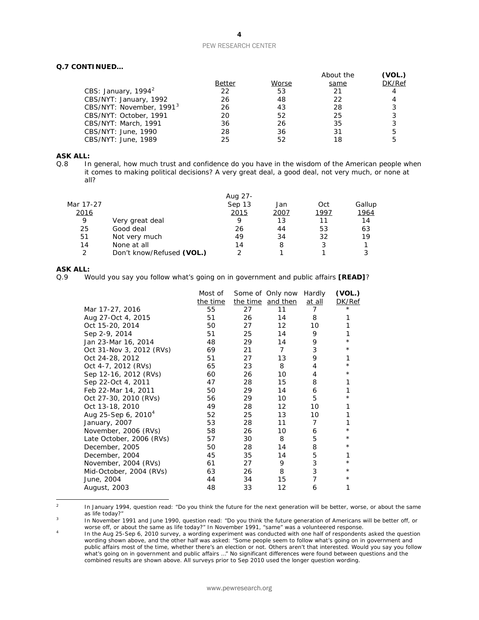#### **Q.7 CONTINUED…**

|                                      |        |       | About the | (VOL.) |
|--------------------------------------|--------|-------|-----------|--------|
|                                      | Better | Worse | same      | DK/Ref |
| CBS: January, $1994^2$               | 22     | 53    | 21        | 4      |
| CBS/NYT: January, 1992               | 26     | 48    | 22        | 4      |
| CBS/NYT: November, 1991 <sup>3</sup> | 26     | 43    | 28        | 3      |
| CBS/NYT: October, 1991               | 20     | 52    | 25        | 3      |
| CBS/NYT: March, 1991                 | 36     | 26    | 35        | 3      |
| CBS/NYT: June, 1990                  | 28     | 36    | 31        | 5      |
| CBS/NYT: June, 1989                  | 25     | 52    | 18        | 5      |

# **ASK ALL:**<br>Q.8 In

In general, how much trust and confidence do you have in the wisdom of the American people when it comes to making political decisions? A very great deal, a good deal, not very much, or none at all?

| Aug 27- |      |      |        |
|---------|------|------|--------|
| Sep 13  | Jan  | Oct  | Gallup |
| 2015    | 2007 | 1997 | 1964   |
| Q       | 13   | 11   | 14     |
| 26      | 44   | 53   | 63     |
| 49      | 34   | 32   | 19     |
| 14      | 8    |      |        |
|         |      |      |        |
|         |      |      |        |

# **ASK ALL:**<br>0.9 W

Q.9 Would you say you follow what's going on in government and public affairs **[READ]**?

|                                 | Most of  |    | Some of Only now  | Hardly         | (VOL.)   |
|---------------------------------|----------|----|-------------------|----------------|----------|
|                                 | the time |    | the time and then | at all         | DK/Ref   |
| Mar 17-27, 2016                 | 55       | 27 | 11                | 7              | $^\star$ |
| Aug 27-Oct 4, 2015              | 51       | 26 | 14                | 8              |          |
| Oct 15-20, 2014                 | 50       | 27 | 12                | 10             |          |
| Sep 2-9, 2014                   | 51       | 25 | 14                | 9              | 1        |
| Jan 23-Mar 16, 2014             | 48       | 29 | 14                | 9              | $^\star$ |
| Oct 31-Nov 3, 2012 (RVs)        | 69       | 21 | $\overline{7}$    | 3              | $^\star$ |
| Oct 24-28, 2012                 | 51       | 27 | 13                | 9              | 1        |
| Oct 4-7, 2012 (RVs)             | 65       | 23 | 8                 | 4              | $^\star$ |
| Sep 12-16, 2012 (RVs)           | 60       | 26 | 10                | 4              | $^\star$ |
| Sep 22-Oct 4, 2011              | 47       | 28 | 15                | 8              |          |
| Feb 22-Mar 14, 2011             | 50       | 29 | 14                | 6              |          |
| Oct 27-30, 2010 (RVs)           | 56       | 29 | 10                | 5              | $^\star$ |
| Oct 13-18, 2010                 | 49       | 28 | 12                | 10             |          |
| Aug 25-Sep 6, 2010 <sup>4</sup> | 52       | 25 | 13                | 10             |          |
| January, 2007                   | 53       | 28 | 11                | $\overline{7}$ |          |
| November, 2006 (RVs)            | 58       | 26 | 10                | 6              | $^\star$ |
| Late October, 2006 (RVs)        | 57       | 30 | 8                 | 5              | $^\star$ |
| December, 2005                  | 50       | 28 | 14                | 8              | $^\star$ |
| December, 2004                  | 45       | 35 | 14                | 5              | 1        |
| November, 2004 (RVs)            | 61       | 27 | 9                 | 3              | $^\star$ |
| Mid-October, 2004 (RVs)         | 63       | 26 | 8                 | 3              | $^\star$ |
| June, 2004                      | 44       | 34 | 15                | 7              | $^\star$ |
| August, 2003                    | 48       | 33 | 12                | 6              | 1        |
|                                 |          |    |                   |                |          |

<span id="page-3-0"></span> $\overline{2}$ In January 1994, question read: "Do you think the future for the next generation will be better, worse, or about the same as life today?"

<span id="page-3-1"></span><sup>3</sup> In November 1991 and June 1990, question read: "Do you think the future generation of Americans will be better off, or worse off, or about the same as life today?" In November 1991, "same" was a volunteered response.

<span id="page-3-2"></span><sup>4</sup> In the Aug 25-Sep 6, 2010 survey, a wording experiment was conducted with one half of respondents asked the question wording shown above, and the other half was asked: "Some people seem to follow what's going on in government and wording shown above, and the other half was asked: "Some people seem to follow what's going on in government public affairs most of the time, whether there's an election or not. Others aren't that interested. Would you say you follow what's going on in government and public affairs …" No significant differences were found between questions and the combined results are shown above. All surveys prior to Sep 2010 used the longer question wording.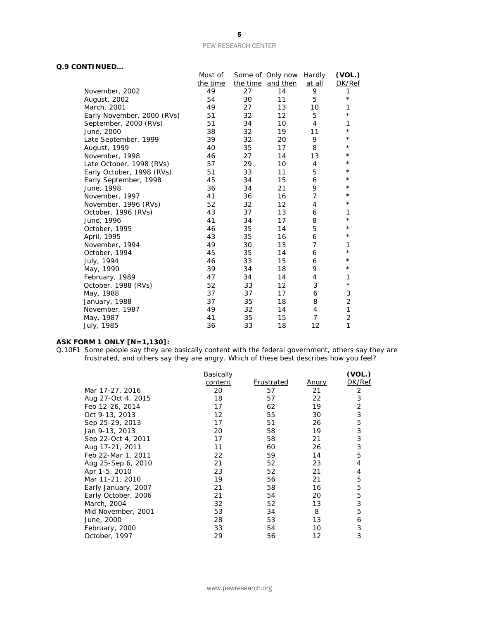### **Q.9 CONTINUED…**

|                            | Most of  |    | Some of Only now  | Hardly         | (VOL.)         |
|----------------------------|----------|----|-------------------|----------------|----------------|
|                            | the time |    | the time and then | at all         | DK/Ref         |
| November, 2002             | 49       | 27 | 14                | 9              | 1              |
| August, 2002               | 54       | 30 | 11                | 5              | $\star$        |
| March, 2001                | 49       | 27 | 13                | 10             | 1              |
| Early November, 2000 (RVs) | 51       | 32 | 12                | 5              | $^\star$       |
| September, 2000 (RVs)      | 51       | 34 | 10                | 4              | 1              |
| June, 2000                 | 38       | 32 | 19                | 11             | $\star$        |
| Late September, 1999       | 39       | 32 | 20                | 9              | $^\star$       |
| August, 1999               | 40       | 35 | 17                | 8              | $^\star$       |
| November, 1998             | 46       | 27 | 14                | 13             | $^\star$       |
| Late October, 1998 (RVs)   | 57       | 29 | 10                | 4              | $^{\star}$     |
| Early October, 1998 (RVs)  | 51       | 33 | 11                | 5              | $^{\star}$     |
| Early September, 1998      | 45       | 34 | 15                | 6              | $^\star$       |
| June, 1998                 | 36       | 34 | 21                | 9              | $^{\star}$     |
| November, 1997             | 41       | 36 | 16                | $\overline{7}$ | $^{\star}$     |
| November, 1996 (RVs)       | 52       | 32 | 12                | 4              | $^\star$       |
| October, 1996 (RVs)        | 43       | 37 | 13                | 6              | 1              |
| June, 1996                 | 41       | 34 | 17                | 8              | $\star$        |
| October, 1995              | 46       | 35 | 14                | 5              | $^\star$       |
| April, 1995                | 43       | 35 | 16                | 6              | $^{\star}$     |
| November, 1994             | 49       | 30 | 13                | 7              | 1              |
| October, 1994              | 45       | 35 | 14                | 6              | $^\star$       |
| July, 1994                 | 46       | 33 | 15                | 6              | $^\star$       |
| May, 1990                  | 39       | 34 | 18                | 9              | $^\star$       |
| February, 1989             | 47       | 34 | 14                | 4              | 1              |
| October, 1988 (RVs)        | 52       | 33 | 12                | 3              | $\star$        |
| May, 1988                  | 37       | 37 | 17                | 6              | 3              |
| January, 1988              | 37       | 35 | 18                | 8              | $\overline{2}$ |
| November, 1987             | 49       | 32 | 14                | 4              | 1              |
| May, 1987                  | 41       | 35 | 15                | $\overline{7}$ | $\overline{2}$ |
| July, 1985                 | 36       | 33 | 18                | 12             | 1              |
|                            |          |    |                   |                |                |

#### **ASK FORM 1 ONLY [N=1,130]:**

Q.10F1 Some people say they are basically content with the federal government, others say they are frustrated, and others say they are angry. Which of these best describes how you feel?

|                     | Basically |            |              | (VOL.) |
|---------------------|-----------|------------|--------------|--------|
|                     | content   | Frustrated | <u>Angry</u> | DK/Ref |
| Mar 17-27, 2016     | 20        | 57         | 21           | 2      |
| Aug 27-Oct 4, 2015  | 18        | 57         | 22           | 3      |
| Feb 12-26, 2014     | 17        | 62         | 19           | 2      |
| Oct 9-13, 2013      | 12        | 55         | 30           | 3      |
| Sep 25-29, 2013     | 17        | 51         | 26           | 5      |
| Jan 9-13, 2013      | 20        | 58         | 19           | 3      |
| Sep 22-Oct 4, 2011  | 17        | 58         | 21           | 3      |
| Aug 17-21, 2011     | 11        | 60         | 26           | 3      |
| Feb 22-Mar 1, 2011  | 22        | 59         | 14           | 5      |
| Aug 25-Sep 6, 2010  | 21        | 52         | 23           | 4      |
| Apr 1-5, 2010       | 23        | 52         | 21           | 4      |
| Mar 11-21, 2010     | 19        | 56         | 21           | 5      |
| Early January, 2007 | 21        | 58         | 16           | 5      |
| Early October, 2006 | 21        | 54         | 20           | 5      |
| March, 2004         | 32        | 52         | 13           | 3      |
| Mid November, 2001  | 53        | 34         | 8            | 5      |
| June, 2000          | 28        | 53         | 13           | 6      |
| February, 2000      | 33        | 54         | 10           | 3      |
| October, 1997       | 29        | 56         | 12           | 3      |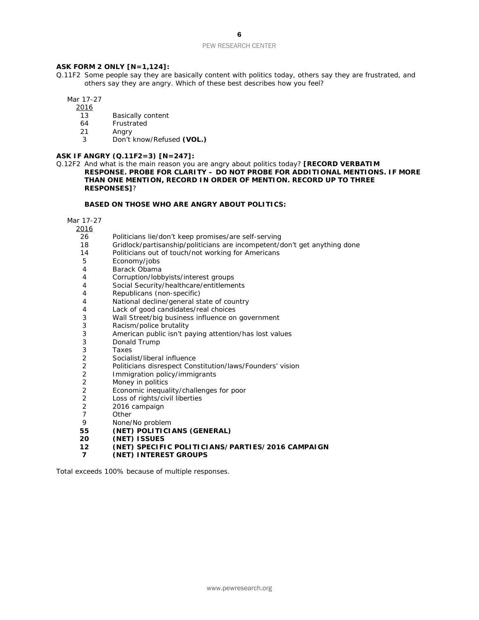#### **ASK FORM 2 ONLY [N=1,124]:**

Q.11F2 Some people say they are basically content with politics today, others say they are frustrated, and others say they are angry. Which of these best describes how you feel?

Mar 17-27

2016

- 13 Basically content
- 64 Frustrated
- 21 Angry
- 3 Don't know/Refused **(VOL.)**

#### **ASK IF ANGRY (Q.11F2=3) [N=247]:**

Q.12F2 And what is the main reason you are angry about politics today? **[RECORD VERBATIM RESPONSE. PROBE FOR CLARITY – DO NOT PROBE FOR ADDITIONAL MENTIONS. IF MORE THAN ONE MENTION, RECORD IN ORDER OF MENTION. RECORD UP TO THREE RESPONSES]**?

#### **BASED ON THOSE WHO ARE ANGRY ABOUT POLITICS:**

Mar 17-27

 $\frac{2016}{36}$ 

- 26 Politicians lie/don't keep promises/are self-serving<br>18 Gridlock/partisanship/politicians are incompetent/c
- Gridlock/partisanship/politicians are incompetent/don't get anything done
- 14 Politicians out of touch/not working for Americans
- 5 Economy/jobs
- 4 Barack Obama<br>4 Corruption/lobb
- Corruption/lobbyists/interest groups
- 4 Social Security/healthcare/entitlements
- 4 Republicans (non-specific)
- 4 National decline/general state of country
- 4 Lack of good candidates/real choices
- 3 Wall Street/big business influence on government
- 3 Racism/police brutality
- 3 American public isn't paying attention/has lost values
- 3 Donald Trump<br>3 Taxes
- 3 Taxes<br>2 Sociali
- 2 Socialist/liberal influence<br>2 Politicians disrespect Con
- 2 Politicians disrespect Constitution/laws/Founders' vision
- 2 Immigration policy/immigrants<br>2 Money in politics
- Money in politics
- 2 Economic inequality/challenges for poor
- 2 Loss of rights/civil liberties
- 2 2016 campaign<br>7 0ther
- 7 Other<br>9 None/
- 9 None/No problem<br>55 **(NET) POLITICI**
- **55 (NET) POLITICIANS (GENERAL)**
- **20 (NET) ISSUES**
- **12 (NET) SPECIFIC POLITICIANS/PARTIES/2016 CAMPAIGN**
- **7 (NET) INTEREST GROUPS**

*Total exceeds 100% because of multiple responses.*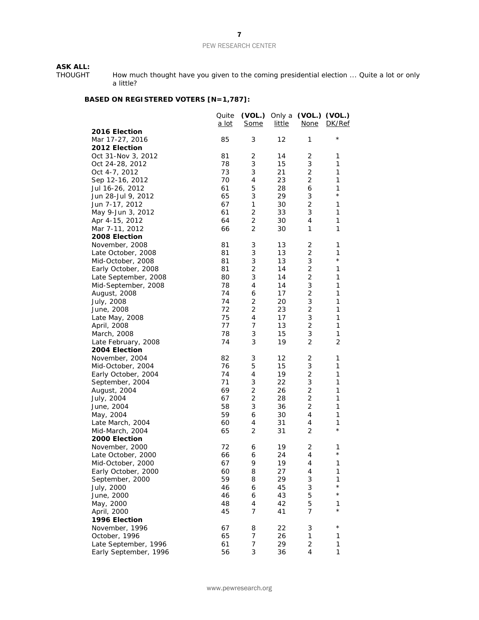# **ASK ALL:**<br>THOUGHT

THOUGHT How much thought have you given to the coming presidential election ... Quite a lot or only a little?

# **BASED ON REGISTERED VOTERS [N=1,787]:**

|                       | Quite<br><u>a lot</u> | (VOL.) Only a<br><b>Some</b> | <u>little</u> | (VOL.) (VOL.)<br><b>None</b> | DK/Ref         |
|-----------------------|-----------------------|------------------------------|---------------|------------------------------|----------------|
| 2016 Election         |                       |                              |               |                              |                |
| Mar 17-27, 2016       | 85                    | 3                            | 12            | 1                            | $^\star$       |
| 2012 Election         |                       |                              |               |                              |                |
| Oct 31-Nov 3, 2012    | 81                    | 2                            | 14            | 2                            | 1              |
| Oct 24-28, 2012       | 78                    | 3                            | 15            | 3                            | 1              |
| Oct 4-7, 2012         | 73                    | 3                            | 21            | $\overline{2}$               | 1              |
| Sep 12-16, 2012       | 70                    | 4                            | 23            | $\overline{2}$               | 1              |
| Jul 16-26, 2012       | 61                    | 5                            | 28            | 6                            | 1              |
| Jun 28-Jul 9, 2012    | 65                    | 3                            | 29            | 3                            | $^{\star}$     |
| Jun 7-17, 2012        | 67                    | 1                            | 30            | $\overline{2}$               | 1              |
| May 9-Jun 3, 2012     | 61                    | 2                            | 33            | 3                            | 1              |
| Apr 4-15, 2012        | 64                    | 2                            | 30            | $\overline{4}$               | 1              |
| Mar 7-11, 2012        | 66                    | $\overline{2}$               | 30            | 1                            | 1              |
| 2008 Election         |                       |                              |               |                              |                |
| November, 2008        | 81                    | 3                            | 13            | 2                            | 1              |
| Late October, 2008    | 81                    | 3                            | 13            | $\overline{2}$               | 1              |
| Mid-October, 2008     | 81                    | 3                            | 13            | 3                            | $\star$        |
| Early October, 2008   | 81                    | 2                            | 14            | 2                            | 1              |
| Late September, 2008  | 80                    | 3                            | 14            | $\overline{2}$               | $\mathbf{1}$   |
| Mid-September, 2008   | 78                    | 4                            | 14            | 3                            | 1              |
| August, 2008          | 74                    | 6                            | 17            | 2                            | $\mathbf{1}$   |
| July, 2008            | 74                    | 2                            | 20            | 3                            | $\mathbf{1}$   |
| June, 2008            | 72                    | $\overline{2}$               | 23            | $\mathbf 2$                  | 1              |
| Late May, 2008        | 75                    | 4                            | 17            | $\ensuremath{\mathsf{3}}$    | 1              |
| April, 2008           | 77                    | 7                            | 13            | 2                            | 1              |
| March, 2008           | 78                    | 3                            | 15            | 3                            | $\mathbf{1}$   |
| Late February, 2008   | 74                    | 3                            | 19            | $\overline{2}$               | $\overline{c}$ |
| 2004 Election         |                       |                              |               |                              |                |
| November, 2004        | 82                    | 3                            | 12            | 2                            | 1              |
| Mid-October, 2004     | 76                    | 5                            | 15            | 3                            | 1              |
| Early October, 2004   | 74                    | 4                            | 19            | $\overline{2}$               | 1              |
| September, 2004       | 71                    | 3                            | 22            | 3                            | 1              |
| August, 2004          | 69                    | $\overline{2}$               | 26            | $\mathbf 2$                  | 1              |
| July, 2004            | 67                    | 2                            | 28            | $\overline{2}$               | 1              |
| June, 2004            | 58                    | 3                            | 36            | $\mathbf 2$                  | 1              |
| May, 2004             | 59                    | 6                            | 30            | 4                            | 1              |
| Late March, 2004      | 60                    | 4                            | 31            | 4                            | 1              |
| Mid-March, 2004       | 65                    | $\overline{2}$               | 31            | $\overline{2}$               | $\star$        |
| 2000 Election         |                       |                              |               |                              |                |
| November, 2000        | 72                    | 6                            | 19            | 2                            | 1              |
| Late October, 2000    | 66                    | 6                            | 24            | 4                            | $\star$        |
| Mid-October, 2000     | 67                    | 9                            | 19            | 4                            | 1              |
| Early October, 2000   | 60                    | 8                            | 27            | 4                            | 1              |
| September, 2000       | 59                    | 8                            | 29            | 3                            | 1              |
| July, 2000            | 46                    | 6                            | 45            | 3                            | $^{\star}$     |
| June, 2000            | 46                    | 6                            | 43            | 5                            | $\star$        |
| May, 2000             | 48                    | 4                            | 42            | 5                            | 1              |
| April, 2000           | 45                    | 7                            | 41            | $\overline{7}$               | $^\star$       |
| 1996 Election         |                       |                              |               |                              |                |
| November, 1996        | 67                    | 8                            | 22            | 3                            | $^\star$       |
| October, 1996         | 65                    | 7                            | 26            | 1                            | 1              |
| Late September, 1996  | 61                    | 7                            | 29            | $\mathbf 2$                  | $\mathbf 1$    |
| Early September, 1996 | 56                    | 3                            | 36            | $\overline{4}$               | $\mathbf{1}$   |
|                       |                       |                              |               |                              |                |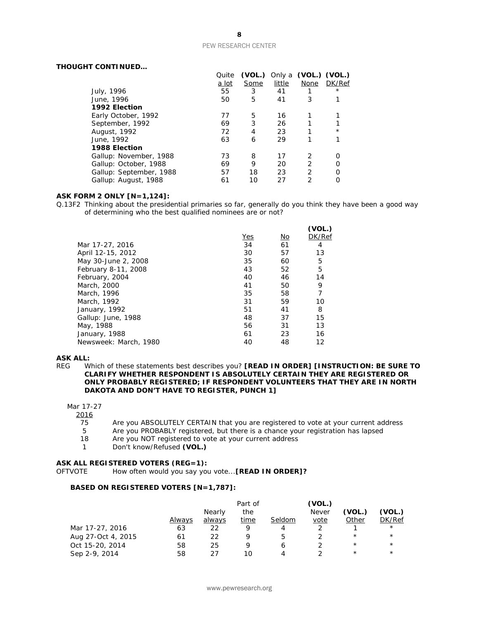#### **THOUGHT CONTINUED…**

|                         | Quite        | (VOL.) |        | Only a (VOL.) (VOL.) |          |
|-------------------------|--------------|--------|--------|----------------------|----------|
|                         | <u>a lot</u> | Some   | little | None                 | DK/Ref   |
| July, 1996              | 55           | 3      | 41     |                      | $^\star$ |
| June, 1996              | 50           | 5      | 41     | 3                    |          |
| 1992 Election           |              |        |        |                      |          |
| Early October, 1992     | 77           | 5      | 16     |                      |          |
| September, 1992         | 69           | 3      | 26     |                      |          |
| August, 1992            | 72           | 4      | 23     |                      | $^\star$ |
| June, 1992              | 63           | 6      | 29     |                      |          |
| 1988 Election           |              |        |        |                      |          |
| Gallup: November, 1988  | 73           | 8      | 17     | 2                    |          |
| Gallup: October, 1988   | 69           | 9      | 20     | 2                    |          |
| Gallup: September, 1988 | 57           | 18     | 23     | 2                    |          |
| Gallup: August, 1988    | 61           | 10     | 27     | 2                    |          |

#### **ASK FORM 2 ONLY [N=1,124]:**

Q.13F2 Thinking about the presidential primaries so far, generally do you think they have been a good way of determining who the best qualified nominees are or not?

|            |    | (VOL.) |
|------------|----|--------|
| <b>Yes</b> | No | DK/Ref |
| 34         | 61 | 4      |
| 30         | 57 | 13     |
| 35         | 60 | 5      |
| 43         | 52 | 5      |
| 40         | 46 | 14     |
| 41         | 50 | 9      |
| 35         | 58 | 7      |
| 31         | 59 | 10     |
| 51         | 41 | 8      |
| 48         | 37 | 15     |
| 56         | 31 | 13     |
| 61         | 23 | 16     |
| 40         | 48 | 12     |
|            |    |        |

# **ASK ALL:**<br>REG W

Which of these statements best describes you? **[READ IN ORDER] [INSTRUCTION: BE SURE TO CLARIFY WHETHER RESPONDENT IS ABSOLUTELY CERTAIN THEY ARE REGISTERED OR ONLY PROBABLY REGISTERED; IF RESPONDENT VOLUNTEERS THAT THEY ARE IN NORTH DAKOTA AND DON'T HAVE TO REGISTER, PUNCH 1]**

#### Mar 17-27

 $\frac{2016}{75}$ 

- 75 Are you ABSOLUTELY CERTAIN that you are registered to vote at your current address<br>5 Are you PROBABLY registered, but there is a chance your registration has lapsed
- 5 Are you PROBABLY registered, but there is a chance your registration has lapsed<br>18 Are you NOT registered to vote at your current address
- Are you NOT registered to vote at your current address
- 1 Don't know/Refused **(VOL.)**

#### **ASK ALL REGISTERED VOTERS (REG=1):**

OFTVOTE How often would you say you vote...**[READ IN ORDER]?**

#### **BASED ON REGISTERED VOTERS [N=1,787]:**

|                    |        |        | Part of |        | (VOL.)       |          |            |
|--------------------|--------|--------|---------|--------|--------------|----------|------------|
|                    |        | Nearly | the     |        | <b>Never</b> | (VOL.)   | (VOL.)     |
|                    | Always | always | time    | Seldom | vote         | Other    | DK/Ref     |
| Mar 17-27, 2016    | 63     | 22     | Q       | 4      |              |          | $^{\star}$ |
| Aug 27-Oct 4, 2015 | 61     | 22     | Q       |        |              | $^\star$ | $^{\star}$ |
| Oct 15-20, 2014    | 58     | 25     | Q       |        |              | $^\star$ | $^{\star}$ |
| Sep 2-9, 2014      | 58     | つフ     | 10      |        |              | $^\star$ | $^\star$   |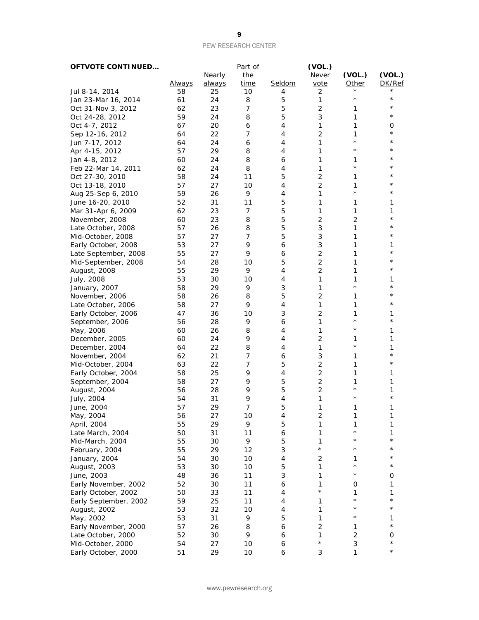| <b>OFTVOTE CONTINUED</b> |               |               | Part of     |        | (VOL.)         |                |               |
|--------------------------|---------------|---------------|-------------|--------|----------------|----------------|---------------|
|                          |               | Nearly        | the         |        | <b>Never</b>   | (VOL.)         | (VOL.)        |
|                          | <u>Always</u> | <u>always</u> | <u>time</u> | Seldom | vote           | <b>Other</b>   | DK/Ref        |
| Jul 8-14, 2014           | 58            | 25            | 10          | 4      | 2              |                |               |
| Jan 23-Mar 16, 2014      | 61            | 24            | 8           | 5      | 1              | $^\star$       | $^\star$      |
| Oct 31-Nov 3, 2012       | 62            | 23            | 7           | 5      | 2              | 1              | $^\star$      |
| Oct 24-28, 2012          | 59            | 24            | 8           | 5      | 3              | 1              | $^\star$      |
| Oct 4-7, 2012            | 67            | 20            | 6           | 4      | 1              | 1              | 0             |
| Sep 12-16, 2012          | 64            | 22            | 7           | 4      | $\overline{c}$ | 1              | $^\star$      |
| Jun 7-17, 2012           | 64            | 24            | 6           | 4      | 1              | $^\star$       | $^\star$      |
| Apr 4-15, 2012           | 57            | 29            | 8           | 4      | 1              | $^\star$       | $^\star$      |
|                          | 60            | 24            | 8           |        | 1              | 1              | $^\star$      |
| Jan 4-8, 2012            |               |               |             | 6      |                | $^{\star}$     | $^\star$      |
| Feb 22-Mar 14, 2011      | 62            | 24            | 8           | 4      | 1              |                | $^\star$      |
| Oct 27-30, 2010          | 58            | 24            | 11          | 5      | 2              | 1              | $^\star$      |
| Oct 13-18, 2010          | 57            | 27            | 10          | 4      | $\overline{c}$ | 1              |               |
| Aug 25-Sep 6, 2010       | 59            | 26            | 9           | 4      | 1              | $^\star$       | $^\star$      |
| June 16-20, 2010         | 52            | 31            | 11          | 5      | 1              | 1              | 1             |
| Mar 31-Apr 6, 2009       | 62            | 23            | 7           | 5      | 1              | 1              | 1             |
| November, 2008           | 60            | 23            | 8           | 5      | $\overline{2}$ | $\overline{c}$ | $^\star$      |
| Late October, 2008       | 57            | 26            | 8           | 5      | 3              | 1              | $^\star$      |
| Mid-October, 2008        | 57            | 27            | 7           | 5      | 3              | 1              | *             |
| Early October, 2008      | 53            | 27            | 9           | 6      | 3              | 1              | 1             |
| Late September, 2008     | 55            | 27            | 9           | 6      | 2              | 1              | $^\star$      |
| Mid-September, 2008      | 54            | 28            | 10          | 5      | 2              | 1              | $^\star$      |
| August, 2008             | 55            | 29            | 9           | 4      | $\overline{c}$ | 1              | $^\star$      |
| July, 2008               | 53            | 30            | 10          | 4      | 1              | 1              | 1             |
| January, 2007            | 58            | 29            | 9           | 3      | 1              | $\star$        | $^\star$      |
| November, 2006           | 58            | 26            | 8           | 5      | 2              | 1              | $^\star$      |
|                          | 58            | 27            | 9           | 4      | 1              | 1              | $^\star$      |
| Late October, 2006       |               |               |             |        | $\overline{2}$ | 1              | 1             |
| Early October, 2006      | 47            | 36            | 10          | 3      |                | $^{\star}$     | $^\star$      |
| September, 2006          | 56            | 28            | 9           | 6      | 1              | $^\star$       |               |
| May, 2006                | 60            | 26            | 8           | 4      | 1              |                | 1             |
| December, 2005           | 60            | 24            | 9           | 4      | 2              | 1              | 1             |
| December, 2004           | 64            | 22            | 8           | 4      | 1              | $^{\star}$     | 1             |
| November, 2004           | 62            | 21            | 7           | 6      | 3              | 1              | $^\star$      |
| Mid-October, 2004        | 63            | 22            | 7           | 5      | $\overline{c}$ | 1              | $^\star$      |
| Early October, 2004      | 58            | 25            | 9           | 4      | $\overline{2}$ | 1              | 1             |
| September, 2004          | 58            | 27            | 9           | 5      | $\overline{2}$ | 1              | 1             |
| August, 2004             | 56            | 28            | 9           | 5      | 2              | $^\star$       | 1             |
| July, 2004               | 54            | 31            | 9           | 4      | 1              | $^\star$       | $^\star$      |
| June, 2004               | 57            | 29            | 7           | 5      | 1              | 1              | 1             |
| May, 2004                | 56            | 27            | 10          | 4      | 2              | 1              | 1             |
| April, 2004              | 55            | 29            | 9           | 5      | 1              | 1              | 1             |
| Late March, 2004         | 50            | 31            | 11          | 6      | 1              | $^\star$       | 1             |
| Mid-March, 2004          | 55            | 30            | 9           | 5      | 1              | $^\star$       | $^\star$      |
| February, 2004           | 55            | 29            | 12          | 3      | $\star$        | $^\star$       | $^\star$      |
| January, 2004            | 54            | 30            | 10          | 4      | 2              | 1              |               |
| August, 2003             | 53            | 30            | 10          | 5      | 1              | $^\star$       | $^\star$      |
| June, 2003               | 48            | 36            | 11          | 3      | 1              | $^\star$       | 0             |
|                          |               |               |             |        | 1              |                |               |
| Early November, 2002     | 52            | 30            | 11          | 6      | $\star$        | 0              | 1             |
| Early October, 2002      | 50            | 33            | 11          | 4      |                | 1<br>$^\star$  | 1<br>$^\star$ |
| Early September, 2002    | 59            | 25            | 11          | 4      | 1              |                | $^\star$      |
| August, 2002             | 53            | 32            | 10          | 4      | 1              | $^\star$       |               |
| May, 2002                | 53            | 31            | 9           | 5      | 1              | $^\star$       | 1             |
| Early November, 2000     | 57            | 26            | 8           | 6      | 2              | 1              | $^\star$      |
| Late October, 2000       | 52            | 30            | 9           | 6      | 1              | $\overline{c}$ | 0             |
| Mid-October, 2000        | 54            | 27            | $10$        | 6      | $\star$        | 3              | $^\star$      |
| Early October, 2000      | 51            | 29            | $10$        | 6      | 3              | 1              | $^\star$      |
|                          |               |               |             |        |                |                |               |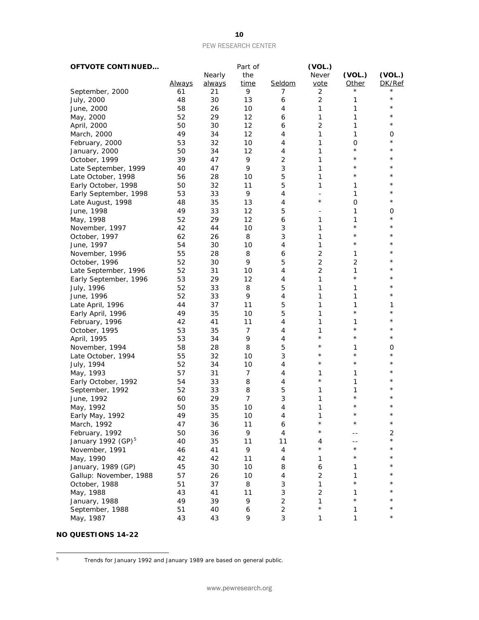| <b>OFTVOTE CONTINUED</b> |               |        | Part of     |                | (VOL.)                   |                |          |
|--------------------------|---------------|--------|-------------|----------------|--------------------------|----------------|----------|
|                          |               | Nearly | the         |                | Never                    | (VOL.)         | (VOL.)   |
|                          | <b>Always</b> | always | <u>time</u> | Seldom         | vote                     | <b>Other</b>   | DK/Ref   |
| September, 2000          | 61            | 21     | 9           | 7              | 2                        |                |          |
| July, 2000               | 48            | 30     | 13          | 6              | $\overline{c}$           | 1              | $\star$  |
| June, 2000               | 58            | 26     | 10          | 4              | 1                        | 1              | $^\star$ |
| May, 2000                | 52            | 29     | 12          | 6              | 1                        | 1              | $^\star$ |
| April, 2000              | 50            | 30     | 12          | 6              | $\overline{c}$           | 1              | $^\star$ |
| March, 2000              | 49            | 34     | 12          | 4              | 1                        | 1              | 0        |
| February, 2000           | 53            | 32     | 10          | 4              | 1                        | O              | $^\star$ |
| January, 2000            | 50            | 34     | 12          | 4              | 1                        | $\star$        | $^\star$ |
| October, 1999            | 39            | 47     | 9           | $\overline{2}$ | 1                        | $\star$        | $^\star$ |
| Late September, 1999     | 40            | 47     | 9           | 3              | 1                        | $^\star$       | $^\star$ |
| Late October, 1998       | 56            | 28     | 10          | 5              | 1                        | $^\star$       | $^\star$ |
| Early October, 1998      | 50            | 32     | 11          | 5              | 1                        | 1              | $^\star$ |
| Early September, 1998    | 53            | 33     | 9           | 4              | $\overline{\phantom{a}}$ | 1              | $^\star$ |
| Late August, 1998        | 48            | 35     | 13          | 4              | $^\star$                 | $\mathbf 0$    | $^\star$ |
| June, 1998               | 49            | 33     | 12          | 5              |                          | 1              | 0        |
| May, 1998                | 52            | 29     | 12          | 6              | 1                        | 1              | $^\star$ |
| November, 1997           | 42            | 44     | 10          | 3              | 1                        | $\star$        | $^\star$ |
| October, 1997            | 62            | 26     | 8           | 3              | 1                        | $^\star$       | $^\star$ |
| June, 1997               | 54            | 30     | 10          | 4              | 1                        | $^\star$       | *        |
| November, 1996           | 55            | 28     | 8           | 6              | $\overline{c}$           | 1              | $^\star$ |
| October, 1996            | 52            | 30     | 9           | 5              | $\overline{c}$           | $\overline{2}$ | $^\star$ |
| Late September, 1996     | 52            | 31     | 10          | 4              | $\overline{c}$           | 1              | $^\star$ |
| Early September, 1996    | 53            | 29     | 12          | 4              | 1                        | $\star$        | *        |
| July, 1996               | 52            | 33     | 8           | 5              | 1                        | 1              | $^\star$ |
| June, 1996               | 52            | 33     | 9           | 4              | 1                        | 1              | $^\star$ |
| Late April, 1996         | 44            | 37     | 11          | 5              | 1                        | 1              | 1        |
| Early April, 1996        | 49            | 35     | 10          | 5              | 1                        | $\star$        | $^\star$ |
| February, 1996           | 42            | 41     | 11          | 4              | 1                        | 1              | $^\star$ |
| October, 1995            | 53            | 35     | 7           | 4              | 1                        | $\star$        | $^\star$ |
| April, 1995              | 53            | 34     | 9           | 4              | $^\star$                 | $^\star$       | $^\star$ |
|                          | 58            | 28     | 8           | 5              | $^\star$                 | 1              | 0        |
| November, 1994           | 55            | 32     | 10          | 3              | $\star$                  | $^\star$       | $^\star$ |
| Late October, 1994       | 52            | 34     |             | 4              | $^\star$                 | $\star$        | $^\star$ |
| July, 1994               | 57            |        | 10<br>7     | 4              | 1                        |                | $^\star$ |
| May, 1993                |               | 31     |             |                | $\star$                  | 1<br>1         | $^\star$ |
| Early October, 1992      | 54<br>52      | 33     | 8           | 4              |                          | 1              | $^\star$ |
| September, 1992          |               | 33     | 8           | 5<br>3         | 1                        | $^\star$       | $^\star$ |
| June, 1992               | 60            | 29     | 7           |                | 1                        | $\star$        | $^\star$ |
| May, 1992                | 50            | 35     | 10          | 4              | 1                        | $^\star$       | $^\star$ |
| Early May, 1992          | 49            | 35     | 10          | 4              | 1<br>$^\star$            | $^\star$       | $^\star$ |
| March, 1992              | 47            | 36     | 11          | 6              |                          |                |          |
| February, 1992           | 50            | 36     | 9           | 4              | $^\star$                 |                | 2        |
| January 1992 $(GP)^5$    | 40            | 35     | 11          | 11             | 4                        |                | $^\star$ |
| November, 1991           | 46            | 41     | 9           | $\overline{4}$ | $^\star$                 | $\star$        | $^\star$ |
| May, 1990                | 42            | 42     | 11          | 4              | 1                        | $^\star$       | $^\star$ |
| January, 1989 (GP)       | 45            | 30     | 10          | 8              | 6                        | 1              | $^\star$ |
| Gallup: November, 1988   | 57            | 26     | 10          | 4              | 2                        | 1              | $^\star$ |
| October, 1988            | 51            | 37     | 8           | 3              | 1                        | $\star$        | $^\star$ |
| May, 1988                | 43            | 41     | 11          | 3              | $\overline{c}$           | 1              | $^\star$ |
| January, 1988            | 49            | 39     | 9           | $\overline{c}$ | 1                        | $\star$        |          |
| September, 1988          | 51            | 40     | 6           | $\mathbf 2$    | $\star$                  | 1              | $^\star$ |
| May, 1987                | 43            | 43     | 9           | $\sqrt{3}$     | 1                        | $\mathbf{1}$   | $^\star$ |

## **NO QUESTIONS 14-22**

<span id="page-9-0"></span> $5^{\circ}$ 

<sup>5</sup> Trends for January 1992 and January 1989 are based on general public.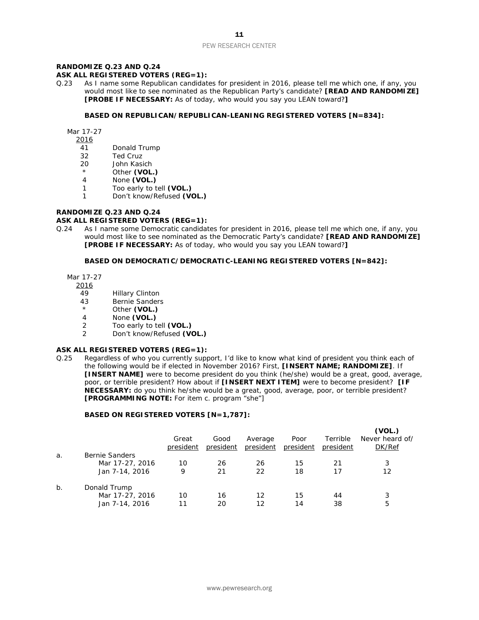# **RANDOMIZE Q.23 AND Q.24**

#### **ASK ALL REGISTERED VOTERS (REG=1):**

Q.23 As I name some Republican candidates for president in 2016, please tell me which one, if any, you would most like to see nominated as the Republican Party's candidate? **[READ AND RANDOMIZE] [PROBE IF NECESSARY:** As of today, who would you say you LEAN toward?**]**

#### **BASED ON REPUBLICAN/REPUBLICAN-LEANING REGISTERED VOTERS [N=834]:**

Mar 17-27

- 2016
- 41 Donald Trump
- 32 Ted Cruz
- 20 John Kasich
- \* Other **(VOL.)**<br>4 None **(VOL.)**
- None **(VOL.)**
- 1 Too early to tell **(VOL.)**
- 1 Don't know/Refused **(VOL.)**

#### **RANDOMIZE Q.23 AND Q.24**

#### **ASK ALL REGISTERED VOTERS (REG=1):**

Q.24 As I name some Democratic candidates for president in 2016, please tell me which one, if any, you would most like to see nominated as the Democratic Party's candidate? **[READ AND RANDOMIZE] [PROBE IF NECESSARY:** As of today, who would you say you LEAN toward?**]**

#### **BASED ON DEMOCRATIC/DEMOCRATIC-LEANING REGISTERED VOTERS [N=842]:**

Mar 17-27

2016

- 49 Hillary Clinton
- 43 Bernie Sanders<br>
A Other (VOL)
- Other (VOL.)
- 4 None **(VOL.)**
- 2 Too early to tell **(VOL.)**
- 2 Don't know/Refused **(VOL.)**

#### **ASK ALL REGISTERED VOTERS (REG=1):**

Q.25 Regardless of who you currently support, I'd like to know what kind of president you think each of the following would be if elected in November 2016? First, **[INSERT NAME; RANDOMIZE]**. If **[INSERT NAME]** were to become president do you think (he/she) would be a great, good, average, poor, or terrible president? How about if **[INSERT NEXT ITEM]** were to become president? **[IF NECESSARY:** do you think he/she would be a great, good, average, poor, or terrible president? **[PROGRAMMING NOTE:** For item c. program "she"]

#### **BASED ON REGISTERED VOTERS [N=1,787]:**

|       |                       | Great<br>president | Good<br>president | Average<br>president | Poor<br>president | Terrible<br>president | (VOL.)<br>Never heard of/<br>DK/Ref |
|-------|-----------------------|--------------------|-------------------|----------------------|-------------------|-----------------------|-------------------------------------|
| a.    | <b>Bernie Sanders</b> |                    |                   |                      |                   |                       |                                     |
|       | Mar 17-27, 2016       | 10                 | 26                | 26                   | 15                | 21                    | 3                                   |
|       | Jan 7-14, 2016        | 9                  | 21                | 22                   | 18                | 17                    | 12                                  |
| $b$ . | Donald Trump          |                    |                   |                      |                   |                       |                                     |
|       | Mar 17-27, 2016       | 10                 | 16                | 12                   | 15                | 44                    | 3                                   |
|       | Jan 7-14, 2016        | 11                 | 20                | 12                   | 14                | 38                    | 5                                   |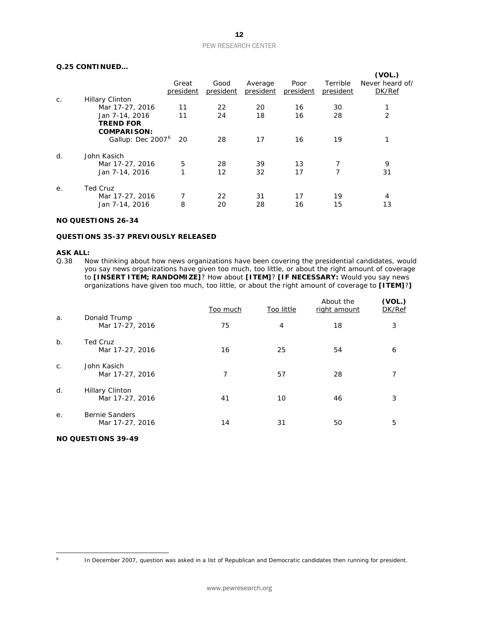#### **Q.25 CONTINUED…**

|    |                                  |                    |                   |                      |                   |                       | (VOL.)                    |
|----|----------------------------------|--------------------|-------------------|----------------------|-------------------|-----------------------|---------------------------|
|    |                                  | Great<br>president | Good<br>president | Average<br>president | Poor<br>president | Terrible<br>president | Never heard of/<br>DK/Ref |
| C. | <b>Hillary Clinton</b>           |                    |                   |                      |                   |                       |                           |
|    | Mar 17-27, 2016                  | 11                 | 22                | 20                   | 16                | 30                    |                           |
|    | Jan 7-14, 2016                   | 11                 | 24                | 18                   | 16                | 28                    | 2                         |
|    | <b>TREND FOR</b>                 |                    |                   |                      |                   |                       |                           |
|    | <b>COMPARISON:</b>               |                    |                   |                      |                   |                       |                           |
|    | Gallup: Dec 2007 <sup>6</sup> 20 |                    | 28                | 17                   | 16                | 19                    |                           |
| d. | John Kasich                      |                    |                   |                      |                   |                       |                           |
|    | Mar 17-27, 2016                  | 5                  | 28                | 39                   | 13                | 7                     | 9                         |
|    | Jan 7-14, 2016                   | 1                  | 12                | 32                   | 17                | 7                     | 31                        |
| е. | <b>Ted Cruz</b>                  |                    |                   |                      |                   |                       |                           |
|    | Mar 17-27, 2016                  |                    | 22                | 31                   | 17                | 19                    | 4                         |
|    | Jan 7-14, 2016                   | 8                  | 20                | 28                   | 16                | 15                    | 13                        |
|    |                                  |                    |                   |                      |                   |                       |                           |

#### **NO QUESTIONS 26-34**

#### **QUESTIONS 35-37 PREVIOUSLY RELEASED**

#### **ASK ALL:**

Q.38 Now thinking about how news organizations have been covering the presidential candidates, would you say news organizations have given too much, too little, or about the right amount of coverage to **[INSERT ITEM; RANDOMIZE]**? How about **[ITEM]**? **[IF NECESSARY:** Would you say news organizations have given too much, too little, or about the right amount of coverage to **[ITEM]**?**]**

|             |                                           | Too much | Too little | About the<br>right amount | (VOL.)<br>DK/Ref |
|-------------|-------------------------------------------|----------|------------|---------------------------|------------------|
| a.          | Donald Trump<br>Mar 17-27, 2016           | 75       | 4          | 18                        | 3                |
| $b$ .       | Ted Cruz<br>Mar 17-27, 2016               | 16       | 25         | 54                        | 6                |
| $C_{\cdot}$ | John Kasich<br>Mar 17-27, 2016            | 7        | 57         | 28                        |                  |
| d.          | <b>Hillary Clinton</b><br>Mar 17-27, 2016 | 41       | 10         | 46                        | 3                |
| е.          | <b>Bernie Sanders</b><br>Mar 17-27, 2016  | 14       | 31         | 50                        | 5                |

### **NO QUESTIONS 39-49**

<span id="page-11-0"></span> $6\overline{6}$ 

In December 2007, question was asked in a list of Republican and Democratic candidates then running for president.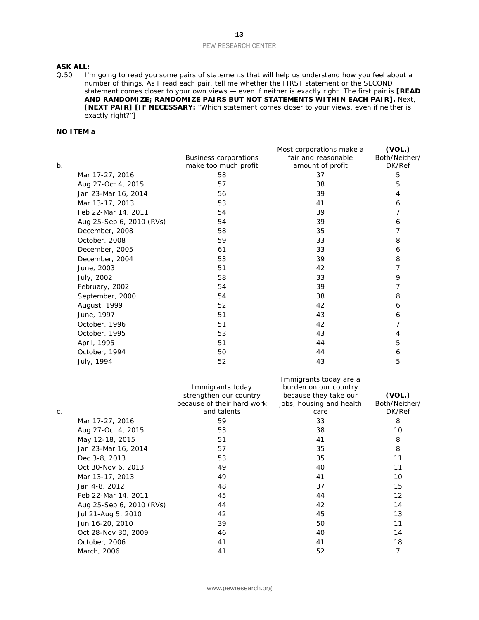#### **ASK ALL:**

Q.50 I'm going to read you some pairs of statements that will help us understand how you feel about a number of things. As I read each pair, tell me whether the FIRST statement or the SECOND statement comes closer to your own views — even if neither is exactly right. The first pair is **[READ AND RANDOMIZE; RANDOMIZE PAIRS BUT NOT STATEMENTS WITHIN EACH PAIR].** Next, **[NEXT PAIR] [IF NECESSARY:** "Which statement comes closer to your views, even if neither is exactly right?"]

#### **NO ITEM a**

|       |                          |                              | Most corporations make a | (VOL.)        |
|-------|--------------------------|------------------------------|--------------------------|---------------|
|       |                          | <b>Business corporations</b> | fair and reasonable      | Both/Neither/ |
| $b$ . |                          | make too much profit         | amount of profit         | DK/Ref        |
|       | Mar 17-27, 2016          | 58                           | 37                       | 5             |
|       | Aug 27-Oct 4, 2015       | 57                           | 38                       | 5             |
|       | Jan 23-Mar 16, 2014      | 56                           | 39                       | 4             |
|       | Mar 13-17, 2013          | 53                           | 41                       | 6             |
|       | Feb 22-Mar 14, 2011      | 54                           | 39                       | 7             |
|       | Aug 25-Sep 6, 2010 (RVs) | 54                           | 39                       | 6             |
|       | December, 2008           | 58                           | 35                       | 7             |
|       | October, 2008            | 59                           | 33                       | 8             |
|       | December, 2005           | 61                           | 33                       | 6             |
|       | December, 2004           | 53                           | 39                       | 8             |
|       | June, 2003               | 51                           | 42                       | 7             |
|       | July, 2002               | 58                           | 33                       | 9             |
|       | February, 2002           | 54                           | 39                       | 7             |
|       | September, 2000          | 54                           | 38                       | 8             |
|       | August, 1999             | 52                           | 42                       | 6             |
|       | June, 1997               | 51                           | 43                       | 6             |
|       | October, 1996            | 51                           | 42                       | 7             |
|       | October, 1995            | 53                           | 43                       | 4             |
|       | April, 1995              | 51                           | 44                       | 5             |
|       | October, 1994            | 50                           | 44                       | 6             |
|       | July, 1994               | 52                           | 43                       | 5             |

|    |                          | Immigrants today<br>strengthen our country<br>because of their hard work | Immigrants today are a<br>burden on our country<br>because they take our<br>jobs, housing and health | (VOL.)<br>Both/Neither/ |
|----|--------------------------|--------------------------------------------------------------------------|------------------------------------------------------------------------------------------------------|-------------------------|
| C. |                          | and talents                                                              | care                                                                                                 | DK/Ref                  |
|    | Mar 17-27, 2016          | 59                                                                       | 33                                                                                                   | 8                       |
|    | Aug 27-Oct 4, 2015       | 53                                                                       | 38                                                                                                   | 10                      |
|    | May 12-18, 2015          | 51                                                                       | 41                                                                                                   | 8                       |
|    | Jan 23-Mar 16, 2014      | 57                                                                       | 35                                                                                                   | 8                       |
|    | Dec 3-8, 2013            | 53                                                                       | 35                                                                                                   | 11                      |
|    | Oct 30-Nov 6, 2013       | 49                                                                       | 40                                                                                                   | 11                      |
|    | Mar 13-17, 2013          | 49                                                                       | 41                                                                                                   | 10                      |
|    | Jan 4-8, 2012            | 48                                                                       | 37                                                                                                   | 15                      |
|    | Feb 22-Mar 14, 2011      | 45                                                                       | 44                                                                                                   | 12                      |
|    | Aug 25-Sep 6, 2010 (RVs) | 44                                                                       | 42                                                                                                   | 14                      |
|    | Jul 21-Aug 5, 2010       | 42                                                                       | 45                                                                                                   | 13                      |
|    | Jun 16-20, 2010          | 39                                                                       | 50                                                                                                   | 11                      |
|    | Oct 28-Nov 30, 2009      | 46                                                                       | 40                                                                                                   | 14                      |
|    | October, 2006            | 41                                                                       | 41                                                                                                   | 18                      |
|    | March, 2006              | 41                                                                       | 52                                                                                                   | 7                       |
|    |                          |                                                                          |                                                                                                      |                         |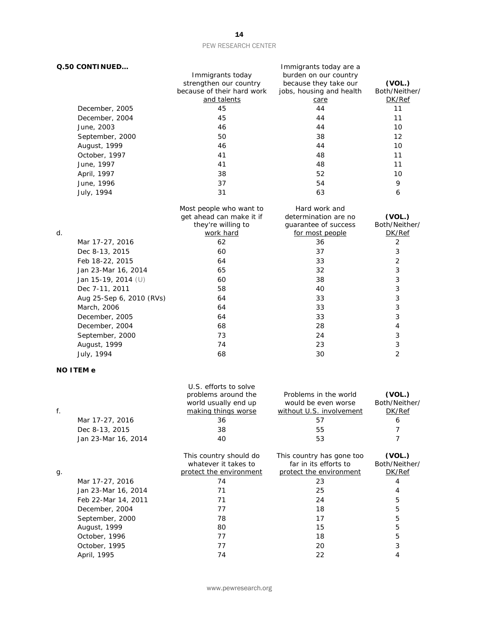|    | Q.50 CONTINUED           | Immigrants today are a     |                          |                |  |  |
|----|--------------------------|----------------------------|--------------------------|----------------|--|--|
|    |                          | Immigrants today           | burden on our country    |                |  |  |
|    |                          | strengthen our country     | because they take our    | (VOL.)         |  |  |
|    |                          | because of their hard work | jobs, housing and health | Both/Neither/  |  |  |
|    |                          | and talents                | care                     | DK/Ref         |  |  |
|    | December, 2005           | 45                         | 44                       | 11             |  |  |
|    | December, 2004           | 45                         | 44                       | 11             |  |  |
|    | June, 2003               | 46                         | 44                       | 10             |  |  |
|    | September, 2000          | 50                         | 38                       | 12             |  |  |
|    | August, 1999             | 46                         | 44                       | 10             |  |  |
|    | October, 1997            | 41                         | 48                       | 11             |  |  |
|    | June, 1997               | 41                         | 48                       | 11             |  |  |
|    | April, 1997              | 38                         | 52                       | 10             |  |  |
|    | June, 1996               | 37                         | 54                       | 9              |  |  |
|    | July, 1994               | 31                         | 63                       | 6              |  |  |
|    |                          | Most people who want to    | Hard work and            |                |  |  |
|    |                          | get ahead can make it if   | determination are no     | (VOL.)         |  |  |
|    |                          | they're willing to         | guarantee of success     | Both/Neither/  |  |  |
| d. |                          | work hard                  | for most people          | DK/Ref         |  |  |
|    | Mar 17-27, 2016          | 62                         | 36                       | $\overline{2}$ |  |  |
|    | Dec 8-13, 2015           | 60                         | 37                       | 3              |  |  |
|    | Feb 18-22, 2015          | 64                         | 33                       | $\overline{2}$ |  |  |
|    | Jan 23-Mar 16, 2014      | 65                         | 32                       | 3              |  |  |
|    | Jan 15-19, 2014 (U)      | 60                         | 38                       | 3              |  |  |
|    | Dec 7-11, 2011           | 58                         | 40                       | 3              |  |  |
|    | Aug 25-Sep 6, 2010 (RVs) | 64                         | 33                       | 3              |  |  |
|    | March, 2006              | 64                         | 33                       | 3              |  |  |
|    | December, 2005           | 64                         | 33                       | 3              |  |  |
|    | December, 2004           | 68                         | 28                       | 4              |  |  |
|    | September, 2000          | 73                         | 24                       | 3              |  |  |
|    | August, 1999             | 74                         | 23                       | 3              |  |  |
|    | July, 1994               | 68                         | 30                       | $\overline{2}$ |  |  |
|    | <b>NO ITEM e</b>         |                            |                          |                |  |  |
|    |                          | U.S. efforts to solve      |                          |                |  |  |
|    |                          | problems around the        | Problems in the world    | (VOL.)         |  |  |

| f. |                     | problems around the<br>world usually end up<br>making things worse        | Problems in the world<br>would be even worse<br>without U.S. involvement      | (VOL.)<br>Both/Neither/<br>DK/Ref |
|----|---------------------|---------------------------------------------------------------------------|-------------------------------------------------------------------------------|-----------------------------------|
|    | Mar 17-27, 2016     | 36                                                                        | 57                                                                            | 6                                 |
|    | Dec 8-13, 2015      | 38                                                                        | 55                                                                            |                                   |
|    | Jan 23-Mar 16, 2014 | 40                                                                        | 53                                                                            |                                   |
|    |                     | This country should do<br>whatever it takes to<br>protect the environment | This country has gone too<br>far in its efforts to<br>protect the environment | (VOL.)<br>Both/Neither/<br>DK/Ref |
| g. |                     | 74                                                                        |                                                                               |                                   |
|    | Mar 17-27, 2016     |                                                                           | 23                                                                            |                                   |
|    | Jan 23-Mar 16, 2014 | 71                                                                        | 25                                                                            | 4                                 |
|    | Feb 22-Mar 14, 2011 | 71                                                                        | 24                                                                            | 5                                 |
|    | December, 2004      | 77                                                                        | 18                                                                            | 5                                 |
|    | September, 2000     | 78                                                                        | 17                                                                            | 5                                 |
|    | August, 1999        | 80                                                                        | 15                                                                            | 5                                 |
|    | October, 1996       | 77                                                                        | 18                                                                            | 5                                 |
|    | October, 1995       | 77                                                                        | 20                                                                            | 3                                 |
|    | April, 1995         | 74                                                                        | 22                                                                            |                                   |

www.pewresearch.org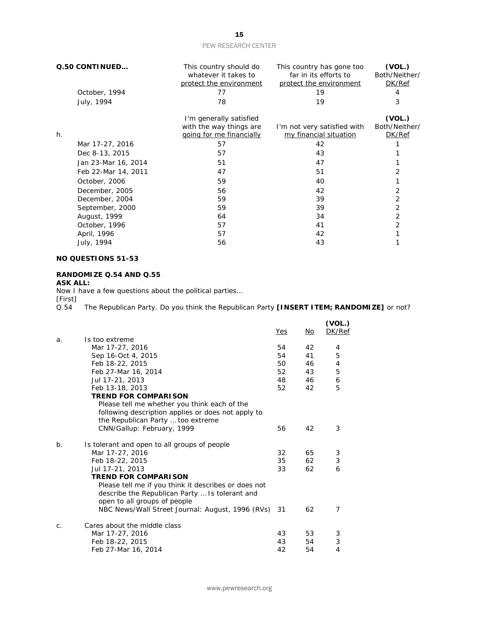| Q.50 CONTINUED      | This country should do<br>whatever it takes to<br>protect the environment | This country has gone too<br>far in its efforts to<br>protect the environment | (VOL.)<br>Both/Neither/<br>DK/Ref |
|---------------------|---------------------------------------------------------------------------|-------------------------------------------------------------------------------|-----------------------------------|
| October, 1994       | 77                                                                        | 19                                                                            |                                   |
| July, 1994          | 78                                                                        | 19                                                                            | 3                                 |
|                     | I'm generally satisfied                                                   |                                                                               | (VOL.)                            |
|                     | with the way things are                                                   | I'm not very satisfied with                                                   | Both/Neither/                     |
| h.                  | going for me financially                                                  | my financial situation                                                        | DK/Ref                            |
| Mar 17-27, 2016     | 57                                                                        | 42                                                                            |                                   |
| Dec 8-13, 2015      | 57                                                                        | 43                                                                            |                                   |
| Jan 23-Mar 16, 2014 | 51                                                                        | 47                                                                            |                                   |
| Feb 22-Mar 14, 2011 | 47                                                                        | 51                                                                            |                                   |
| October, 2006       | 59                                                                        | 40                                                                            |                                   |
| December, 2005      | 56                                                                        | 42                                                                            | 2                                 |
| December, 2004      | 59                                                                        | 39                                                                            | 2                                 |
| September, 2000     | 59                                                                        | 39                                                                            | 2                                 |
| August, 1999        | 64                                                                        | 34                                                                            | 2                                 |
| October, 1996       | 57                                                                        | 41                                                                            | 2                                 |
| April, 1996         | 57                                                                        | 42                                                                            |                                   |
| July, 1994          | 56                                                                        | 43                                                                            |                                   |

### **NO QUESTIONS 51-53**

#### **RANDOMIZE Q.54 AND Q.55**

#### **ASK ALL:**

Now I have a few questions about the political parties…

[First]<br>Q.54 The Republican Party. Do you think the Republican Party **[INSERT ITEM; RANDOMIZE]** or not?

|                |                                                      | Yes | No | (VOL.)<br>DK/Ref |
|----------------|------------------------------------------------------|-----|----|------------------|
| a.             | Is too extreme                                       |     |    |                  |
|                | Mar 17-27, 2016                                      | 54  | 42 | 4                |
|                | Sep 16-Oct 4, 2015                                   | 54  | 41 | 5                |
|                | Feb 18-22, 2015                                      | 50  | 46 | 4                |
|                | Feb 27-Mar 16, 2014                                  | 52  | 43 | 5                |
|                | Jul 17-21, 2013                                      | 48  | 46 | 6                |
|                | Feb 13-18, 2013                                      | 52  | 42 | 5                |
|                | <b>TREND FOR COMPARISON</b>                          |     |    |                  |
|                | Please tell me whether you think each of the         |     |    |                  |
|                | following description applies or does not apply to   |     |    |                  |
|                | the Republican Party  too extreme                    |     |    |                  |
|                | CNN/Gallup: February, 1999                           | 56  | 42 | 3                |
| b <sub>1</sub> | Is tolerant and open to all groups of people         |     |    |                  |
|                | Mar 17-27, 2016                                      | 32  | 65 | 3                |
|                | Feb 18-22, 2015                                      | 35  | 62 | 3                |
|                | Jul 17-21, 2013                                      | 33  | 62 | 6                |
|                | <b>TREND FOR COMPARISON</b>                          |     |    |                  |
|                | Please tell me if you think it describes or does not |     |    |                  |
|                | describe the Republican Party  Is tolerant and       |     |    |                  |
|                | open to all groups of people                         |     |    |                  |
|                | NBC News/Wall Street Journal: August, 1996 (RVs) 31  |     | 62 | 7                |
| C.             | Cares about the middle class                         |     |    |                  |
|                | Mar 17-27, 2016                                      | 43  | 53 | 3                |
|                | Feb 18-22, 2015                                      | 43  | 54 | 3                |
|                | Feb 27-Mar 16, 2014                                  | 42  | 54 | 4                |
|                |                                                      |     |    |                  |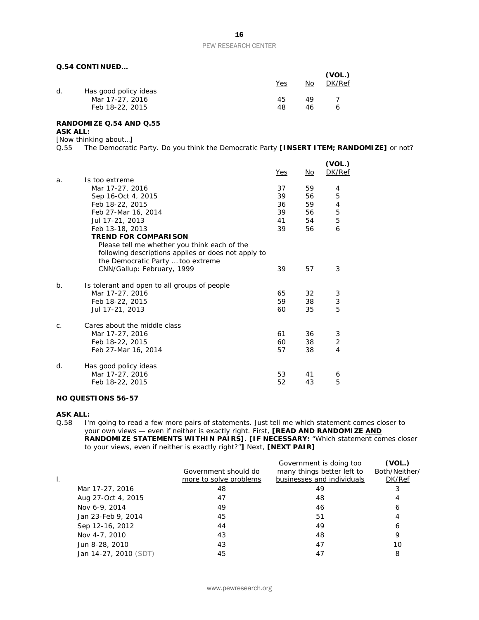#### **Q.54 CONTINUED…**

| Yes      | No       | (VOL.)<br>DK/Ref |
|----------|----------|------------------|
| 45<br>48 | 49<br>46 | 6                |
|          |          |                  |

#### **RANDOMIZE Q.54 AND Q.55 ASK ALL:**

#### [Now thinking about…]

Q.55 The Democratic Party. Do you think the Democratic Party **[INSERT ITEM; RANDOMIZE]** or not?

|         |                                                                                                     | Yes | No | (VOL.)<br>DK/Ref |
|---------|-----------------------------------------------------------------------------------------------------|-----|----|------------------|
| a.      | Is too extreme                                                                                      |     |    |                  |
|         | Mar 17-27, 2016                                                                                     | 37  | 59 | 4                |
|         | Sep 16-Oct 4, 2015                                                                                  | 39  | 56 | 5                |
|         | Feb 18-22, 2015                                                                                     | 36  | 59 | 4                |
|         | Feb 27-Mar 16, 2014                                                                                 | 39  | 56 | 5                |
|         | Jul 17-21, 2013                                                                                     | 41  | 54 | 5                |
|         | Feb 13-18, 2013                                                                                     | 39  | 56 | 6                |
|         | <b>TREND FOR COMPARISON</b>                                                                         |     |    |                  |
|         | Please tell me whether you think each of the<br>following descriptions applies or does not apply to |     |    |                  |
|         | the Democratic Party  too extreme<br>CNN/Gallup: February, 1999                                     | 39  | 57 | 3                |
|         |                                                                                                     |     |    |                  |
| $b$ .   | Is tolerant and open to all groups of people                                                        |     |    |                  |
|         | Mar 17-27, 2016                                                                                     | 65  | 32 | 3                |
|         | Feb 18-22, 2015                                                                                     | 59  | 38 | 3                |
|         | Jul 17-21, 2013                                                                                     | 60  | 35 | 5                |
| $C_{1}$ | Cares about the middle class                                                                        |     |    |                  |
|         | Mar 17-27, 2016                                                                                     | 61  | 36 | 3                |
|         | Feb 18-22, 2015                                                                                     | 60  | 38 | 2                |
|         | Feb 27-Mar 16, 2014                                                                                 | 57  | 38 | 4                |
| d.      | Has good policy ideas                                                                               |     |    |                  |
|         | Mar 17-27, 2016                                                                                     | 53  | 41 | 6                |
|         | Feb 18-22, 2015                                                                                     | 52  | 43 | 5                |
|         |                                                                                                     |     |    |                  |

#### **NO QUESTIONS 56-57**

**ASK ALL:**<br>Q.58 | I'r I'm going to read a few more pairs of statements. Just tell me which statement comes closer to your own views — even if neither is exactly right. First, **[READ AND RANDOMIZE AND RANDOMIZE STATEMENTS WITHIN PAIRS]**. **[IF NECESSARY:** "Which statement comes closer to your views, even if neither is exactly right?"**]** Next, **[NEXT PAIR]**

|                       | Government should do<br>more to solve problems | Government is doing too<br>many things better left to<br>businesses and individuals | (VOL.)<br>Both/Neither/<br>DK/Ref |
|-----------------------|------------------------------------------------|-------------------------------------------------------------------------------------|-----------------------------------|
| Mar 17-27, 2016       | 48                                             | 49                                                                                  | 3                                 |
| Aug 27-Oct 4, 2015    | 47                                             | 48                                                                                  | 4                                 |
| Nov 6-9, 2014         | 49                                             | 46                                                                                  | 6                                 |
| Jan 23-Feb 9, 2014    | 45                                             | 51                                                                                  | 4                                 |
| Sep 12-16, 2012       | 44                                             | 49                                                                                  | 6                                 |
| Nov 4-7, 2010         | 43                                             | 48                                                                                  | 9                                 |
| Jun 8-28, 2010        | 43                                             | 47                                                                                  | 10                                |
| Jan 14-27, 2010 (SDT) | 45                                             | 47                                                                                  | 8                                 |
|                       |                                                |                                                                                     |                                   |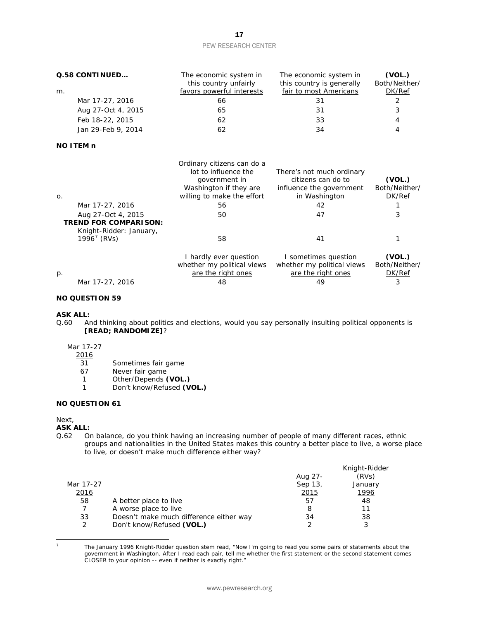| Q.58 CONTINUED     | The economic system in<br>this country unfairly | The economic system in<br>this country is generally | (VOL.)<br>Both/Neither/ |
|--------------------|-------------------------------------------------|-----------------------------------------------------|-------------------------|
| m.                 | favors powerful interests                       | fair to most Americans                              | DK/Ref                  |
| Mar 17-27, 2016    | 66                                              | 31                                                  |                         |
| Aug 27-Oct 4, 2015 | 65                                              | 31                                                  | 3                       |
| Feb 18-22, 2015    | 62                                              | 33                                                  | 4                       |
| Jan 29-Feb 9, 2014 | 62                                              | 34                                                  | 4                       |

#### **NO ITEM n**

| $\mathsf{O}$ .                                                                | Ordinary citizens can do a<br>lot to influence the<br>government in<br>Washington if they are<br>willing to make the effort | There's not much ordinary<br>citizens can do to<br>influence the government<br>in Washington | (VOL.)<br>Both/Neither/<br>DK/Ref |
|-------------------------------------------------------------------------------|-----------------------------------------------------------------------------------------------------------------------------|----------------------------------------------------------------------------------------------|-----------------------------------|
| Mar 17-27, 2016                                                               | 56                                                                                                                          | 42                                                                                           |                                   |
| Aug 27-Oct 4, 2015<br><b>TREND FOR COMPARISON:</b><br>Knight-Ridder: January, | 50                                                                                                                          | 47                                                                                           | 3                                 |
| $1996^7$ (RVs)                                                                | 58                                                                                                                          | 41                                                                                           |                                   |
|                                                                               | I hardly ever question<br>whether my political views                                                                        | I sometimes question<br>whether my political views                                           | (VOL.)<br>Both/Neither/           |
| $p$ .                                                                         | are the right ones                                                                                                          | are the right ones                                                                           | DK/Ref                            |
| Mar 17-27, 2016                                                               | 48                                                                                                                          | 49                                                                                           | 3                                 |

#### **NO QUESTION 59**

# **ASK ALL:**<br>Q.60 Ar

And thinking about politics and elections, would you say personally insulting political opponents is **[READ; RANDOMIZE]**?

#### Mar 17-27

2016

- 31 Sometimes fair game
- 
- 67 Never fair game<br>1 Other/Depends (
- 1 Other/Depends **(VOL.)**<br>1 Don't know/Refused **(V** Don't know/Refused **(VOL.)**

#### **NO QUESTION 61**

Next,

#### **ASK ALL:**

Q.62 On balance, do you think having an increasing number of people of many different races, ethnic groups and nationalities in the United States makes this country a better place to live, a worse place to live, or doesn't make much difference either way?

|         | Knight-Ridder |
|---------|---------------|
| Aug 27- | (RVs)         |
| Sep 13, | January       |
| 2015    | 1996          |
| 57      | 48            |
| 8       | 11            |
| 34      | 38            |
|         |               |
|         |               |

<span id="page-16-0"></span><sup>1</sup> 

<sup>7</sup> The January 1996 Knight-Ridder question stem read, "Now I'm going to read you some pairs of statements about the government in Washington. After I read each pair, tell me whether the first statement or the second statement comes CLOSER to your opinion -- even if neither is exactly right."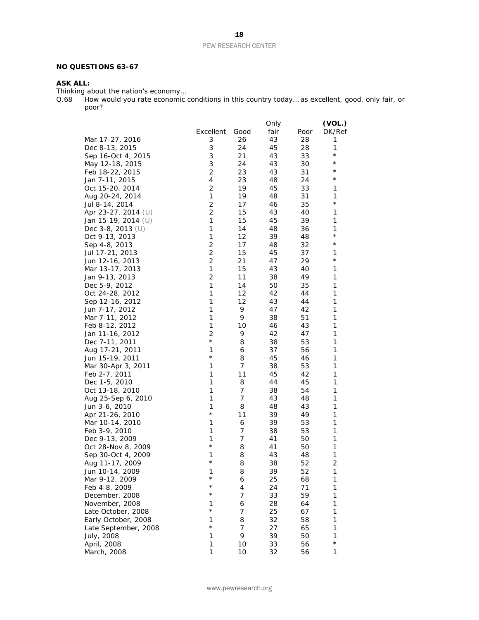#### **NO QUESTIONS 63-67**

#### **ASK ALL:**

Thinking about the nation's economy…

Q.68 How would you rate economic conditions in this country today… as excellent, good, only fair, or poor?

|                      |                  |          | Only        |             | (VOL.)       |
|----------------------|------------------|----------|-------------|-------------|--------------|
|                      | <b>Excellent</b> | Good     | <u>fair</u> | <u>Poor</u> | DK/Ref       |
| Mar 17-27, 2016      | 3                | 26       | 43          | 28          | 1            |
| Dec 8-13, 2015       | 3                | 24       | 45          | 28          | 1            |
| Sep 16-Oct 4, 2015   | 3                | 21       | 43          | 33          | $^{\star}$   |
| May 12-18, 2015      | 3                | 24       | 43          | 30          | $^\star$     |
| Feb 18-22, 2015      | $\overline{c}$   | 23       | 43          | 31          | $^\star$     |
| Jan 7-11, 2015       | 4                | 23       | 48          | 24          | $^\star$     |
| Oct 15-20, 2014      | 2                | 19       | 45          | 33          | 1            |
| Aug 20-24, 2014      | 1                | 19       | 48          | 31          | 1            |
| Jul 8-14, 2014       | $\overline{c}$   | 17       | 46          | 35          | $^{\star}$   |
| Apr 23-27, 2014 (U)  | 2                | 15       | 43          | 40          | 1            |
| Jan 15-19, 2014 (U)  | 1                | 15       | 45          | 39          | 1            |
| Dec $3-8$ , 2013 (U) | 1                | 14       | 48          | 36          | 1            |
| Oct 9-13, 2013       | $\mathbf{1}$     | 12       | 39          | 48          | $^\star$     |
| Sep 4-8, 2013        | $\overline{c}$   | 17       | 48          | 32          | $^{\star}$   |
| Jul 17-21, 2013      | $\overline{c}$   | 15       | 45          | 37          | 1            |
| Jun 12-16, 2013      | $\overline{c}$   | 21       | 47          | 29          | $^{\star}$   |
| Mar 13-17, 2013      | 1                | 15       | 43          | 40          | 1            |
|                      | 2                |          | 38          | 49          | 1            |
| Jan 9-13, 2013       | 1                | 11<br>14 | 50          | 35          | 1            |
| Dec 5-9, 2012        |                  |          |             |             |              |
| Oct 24-28, 2012      | $\mathbf{1}$     | 12       | 42          | 44          | 1            |
| Sep 12-16, 2012      | 1                | 12       | 43          | 44          | 1            |
| Jun 7-17, 2012       | 1                | 9        | 47          | 42          | 1            |
| Mar 7-11, 2012       | 1                | 9        | 38          | 51          | 1            |
| Feb 8-12, 2012       | 1                | 10       | 46          | 43          | 1            |
| Jan 11-16, 2012      | 2                | 9        | 42          | 47          | 1            |
| Dec 7-11, 2011       | $^{\star}$       | 8        | 38          | 53          | 1            |
| Aug 17-21, 2011      | 1                | 6        | 37          | 56          | 1            |
| Jun 15-19, 2011      | $^{\star}$       | 8        | 45          | 46          | 1            |
| Mar 30-Apr 3, 2011   | 1                | 7        | 38          | 53          | 1            |
| Feb 2-7, 2011        | 1                | 11       | 45          | 42          | 1            |
| Dec 1-5, 2010        | $\mathbf{1}$     | 8        | 44          | 45          | 1            |
| Oct 13-18, 2010      | 1                | 7        | 38          | 54          | 1            |
| Aug 25-Sep 6, 2010   | 1                | 7        | 43          | 48          | 1            |
| Jun 3-6, 2010        | 1                | 8        | 48          | 43          | 1            |
| Apr 21-26, 2010      | $\star$          | 11       | 39          | 49          | 1            |
| Mar 10-14, 2010      | 1                | 6        | 39          | 53          | 1            |
| Feb 3-9, 2010        | 1                | 7        | 38          | 53          | 1            |
| Dec 9-13, 2009       | 1                | 7        | 41          | 50          | 1            |
| Oct 28-Nov 8, 2009   | $^{\star}$       | 8        | 41          | 50          | 1            |
| Sep 30-Oct 4, 2009   | 1                | 8        | 43          | 48          | 1            |
| Aug 11-17, 2009      | $^{\star}$       | 8        | 38          | 52          | 2            |
| Jun 10-14, 2009      | 1                | 8        | 39          | 52          | $\mathbf{1}$ |
| Mar 9-12, 2009       | $^{\star}$       | 6        | 25          | 68          | 1            |
| Feb 4-8, 2009        | $^\star$         | 4        | 24          | 71          | 1            |
| December, 2008       | $^\star$         | 7        | 33          | 59          | 1            |
| November, 2008       | 1                | 6        | 28          | 64          | 1            |
| Late October, 2008   | $^\star$         | 7        | 25          | 67          | 1            |
| Early October, 2008  | 1                | 8        | 32          | 58          | 1            |
| Late September, 2008 | $^{\star}$       | 7        | 27          | 65          | 1            |
| July, 2008           | 1                | 9        | 39          | 50          | 1            |
| April, 2008          | 1                | 10       | 33          | 56          | $^{\star}$   |
| March, 2008          | 1                | 10       | 32          | 56          | 1            |
|                      |                  |          |             |             |              |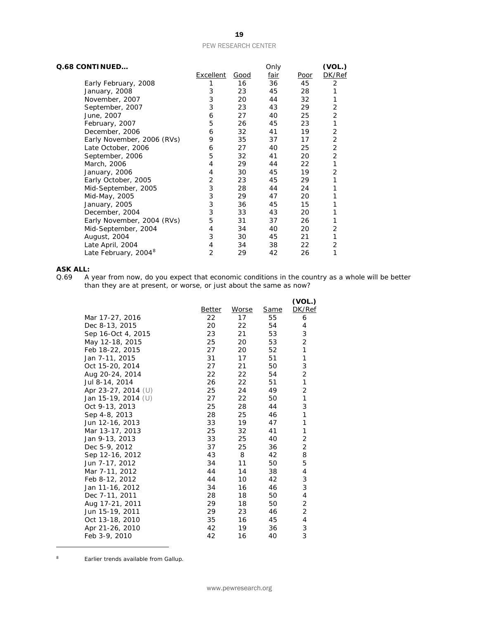| Q.68 CONTINUED                   |                  |      | Only |      | (VOL.) |
|----------------------------------|------------------|------|------|------|--------|
|                                  | <b>Excellent</b> | Good | fair | Poor | DK/Ref |
| Early February, 2008             | 1                | 16   | 36   | 45   | 2      |
| January, 2008                    | 3                | 23   | 45   | 28   | 1      |
| November, 2007                   | 3                | 20   | 44   | 32   | 1      |
| September, 2007                  | 3                | 23   | 43   | 29   | 2      |
| June, 2007                       | 6                | 27   | 40   | 25   | 2      |
| February, 2007                   | 5                | 26   | 45   | 23   | 1      |
| December, 2006                   | 6                | 32   | 41   | 19   | 2      |
| Early November, 2006 (RVs)       | 9                | 35   | 37   | 17   | 2      |
| Late October, 2006               | 6                | 27   | 40   | 25   | 2      |
| September, 2006                  | 5                | 32   | 41   | 20   | 2      |
| March, 2006                      | 4                | 29   | 44   | 22   | 1      |
| January, 2006                    | 4                | 30   | 45   | 19   | 2      |
| Early October, 2005              | 2                | 23   | 45   | 29   | 1      |
| Mid-September, 2005              | 3                | 28   | 44   | 24   | 1      |
| Mid-May, 2005                    | 3                | 29   | 47   | 20   |        |
| January, 2005                    | 3                | 36   | 45   | 15   |        |
| December, 2004                   | 3                | 33   | 43   | 20   | 1      |
| Early November, 2004 (RVs)       | 5                | 31   | 37   | 26   |        |
| Mid-September, 2004              | 4                | 34   | 40   | 20   | 2      |
| August, 2004                     | 3                | 30   | 45   | 21   | 1      |
| Late April, 2004                 | 4                | 34   | 38   | 22   | 2      |
| Late February, 2004 <sup>8</sup> | 2                | 29   | 42   | 26   | 1      |

# **ASK ALL:**<br>0.69 A

Q.69 A year from now, do you expect that economic conditions in the country as a whole will be better than they are at present, or worse, or just about the same as now?

|        |       |             | (VOL.)         |
|--------|-------|-------------|----------------|
| Better | Worse | <b>Same</b> | DK/Ref         |
| 22     | 17    | 55          | 6              |
| 20     | 22    | 54          | 4              |
| 23     | 21    | 53          | 3              |
| 25     | 20    | 53          | 2              |
| 27     | 20    | 52          | 1              |
| 31     | 17    | 51          | 1              |
| 27     | 21    | 50          | 3              |
| 22     | 22    | 54          | $\overline{c}$ |
| 26     | 22    | 51          | 1              |
| 25     | 24    | 49          | $\overline{2}$ |
| 27     | 22    | 50          | 1              |
| 25     | 28    | 44          | 3              |
| 28     | 25    | 46          | 1              |
| 33     | 19    | 47          | 1              |
|        |       | 41          | 1              |
| 33     | 25    | 40          | 2              |
| 37     | 25    | 36          | $\overline{2}$ |
| 43     | 8     | 42          | 8              |
| 34     | 11    | 50          | 5              |
| 44     | 14    | 38          | 4              |
| 44     | 10    | 42          | 3              |
| 34     | 16    | 46          | 3              |
| 28     | 18    | 50          | 4              |
| 29     | 18    | 50          | 2              |
| 29     | 23    | 46          | 2              |
| 35     | 16    | 45          | 4              |
| 42     | 19    | 36          | 3              |
| 42     | 16    | 40          | 3              |
|        | 25    | 32          |                |

<span id="page-18-0"></span><sup>8</sup> Earlier trends available from Gallup.

 $\overline{a}$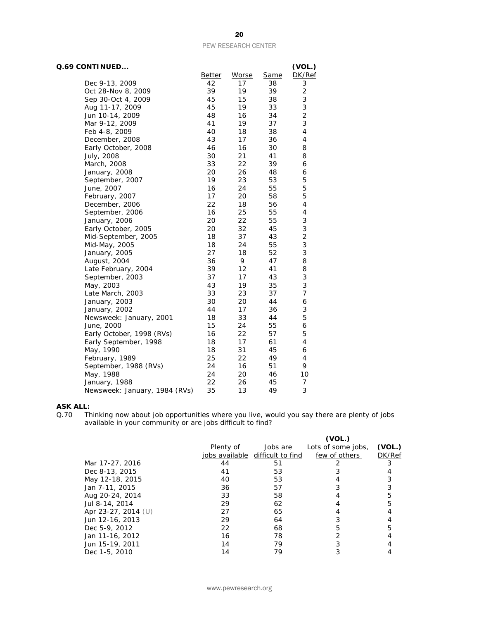| Q.69 CONTINUED                |        |       |      | (VOL.)                   |
|-------------------------------|--------|-------|------|--------------------------|
|                               | Better | Worse | Same | DK/Ref                   |
| Dec 9-13, 2009                | 42     | 17    | 38   | 3                        |
| Oct 28-Nov 8, 2009            | 39     | 19    | 39   | $\overline{c}$           |
| Sep 30-Oct 4, 2009            | 45     | 15    | 38   | 3                        |
| Aug 11-17, 2009               | 45     | 19    | 33   | 3                        |
| Jun 10-14, 2009               | 48     | 16    | 34   | $\overline{c}$           |
| Mar 9-12, 2009                | 41     | 19    | 37   | 3                        |
| Feb 4-8, 2009                 | 40     | 18    | 38   | $\overline{\mathcal{A}}$ |
| December, 2008                | 43     | 17    | 36   | 4                        |
| Early October, 2008           | 46     | 16    | 30   | 8                        |
| July, 2008                    | 30     | 21    | 41   | 8                        |
| March, 2008                   | 33     | 22    | 39   | 6                        |
| January, 2008                 | 20     | 26    | 48   | 6                        |
| September, 2007               | 19     | 23    | 53   | 5                        |
| June, 2007                    | 16     | 24    | 55   | 5                        |
| February, 2007                | 17     | 20    | 58   | 5                        |
| December, 2006                | 22     | 18    | 56   | 4                        |
| September, 2006               | 16     | 25    | 55   | 4                        |
| January, 2006                 | 20     | 22    | 55   | 3                        |
| Early October, 2005           | 20     | 32    | 45   | 3                        |
| Mid-September, 2005           | 18     | 37    | 43   | $\overline{c}$           |
| Mid-May, 2005                 | 18     | 24    | 55   | 3                        |
| January, 2005                 | 27     | 18    | 52   | 3                        |
| August, 2004                  | 36     | 9     | 47   | 8                        |
| Late February, 2004           | 39     | 12    | 41   | 8                        |
| September, 2003               | 37     | 17    | 43   | 3                        |
| May, 2003                     | 43     | 19    | 35   | 3                        |
| Late March, 2003              | 33     | 23    | 37   | 7                        |
| January, 2003                 | 30     | 20    | 44   | 6                        |
| January, 2002                 | 44     | 17    | 36   | 3                        |
| Newsweek: January, 2001       | 18     | 33    | 44   | 5                        |
| June, 2000                    | 15     | 24    | 55   | 6                        |
| Early October, 1998 (RVs)     | 16     | 22    | 57   | 5                        |
| Early September, 1998         | 18     | 17    | 61   | 4                        |
| May, 1990                     | 18     | 31    | 45   | 6                        |
| February, 1989                | 25     | 22    | 49   | 4                        |
| September, 1988 (RVs)         | 24     | 16    | 51   | 9                        |
| May, 1988                     | 24     | 20    | 46   | 10                       |
| January, 1988                 | 22     | 26    | 45   | 7                        |
| Newsweek: January, 1984 (RVs) | 35     | 13    | 49   | 3                        |

# **ASK ALL:**<br>Q.70 Th

Q.70 Thinking now about job opportunities where you live, would you say there are plenty of jobs available in your community or are jobs difficult to find?

|                       |           |                                  | (VOL.)             |        |
|-----------------------|-----------|----------------------------------|--------------------|--------|
|                       | Plenty of | Jobs are                         | Lots of some jobs, | (VOL.) |
|                       |           | jobs available difficult to find | few of others      | DK/Ref |
| Mar 17-27, 2016       | 44        | 51                               |                    |        |
| Dec 8-13, 2015        | 41        | 53                               |                    |        |
| May 12-18, 2015       | 40        | 53                               |                    |        |
| Jan 7-11, 2015        | 36        | 57                               |                    |        |
| Aug 20-24, 2014       | 33        | 58                               |                    |        |
| Jul 8-14, 2014        | 29        | 62                               |                    |        |
| Apr 23-27, 2014 $(U)$ | 27        | 65                               |                    |        |
| Jun 12-16, 2013       | 29        | 64                               |                    |        |
| Dec 5-9, 2012         | 22        | 68                               | 5                  |        |
| Jan 11-16, 2012       | 16        | 78                               |                    |        |
| Jun 15-19, 2011       | 14        | 79                               |                    |        |
| Dec 1-5, 2010         | 14        | 79                               |                    |        |

20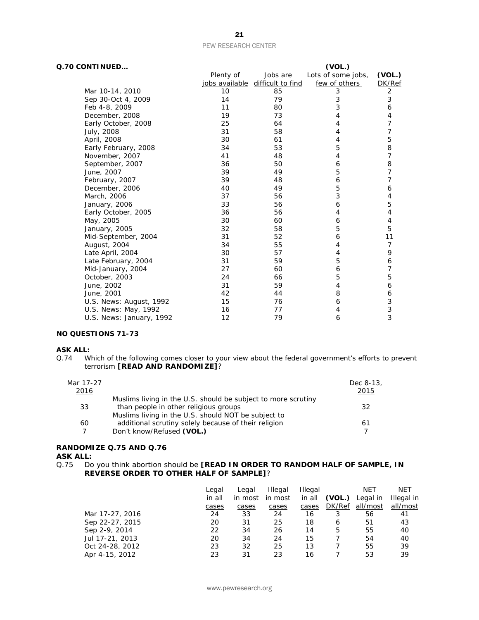| Q.70 CONTINUED<br>(VOL.) |           |                                  |                    |                |
|--------------------------|-----------|----------------------------------|--------------------|----------------|
|                          | Plenty of | Jobs are                         | Lots of some jobs, | (VOL.)         |
|                          |           | jobs available difficult to find | few of others      | DK/Ref         |
| Mar 10-14, 2010          | 10        | 85                               | 3                  | $\overline{2}$ |
| Sep 30-Oct 4, 2009       | 14        | 79                               | 3                  | 3              |
| Feb 4-8, 2009            | 11        | 80                               | 3                  | 6              |
| December, 2008           | 19        | 73                               | 4                  | 4              |
| Early October, 2008      | 25        | 64                               | 4                  | 7              |
| July, 2008               | 31        | 58                               | 4                  | 7              |
| April, 2008              | 30        | 61                               | 4                  | 5              |
| Early February, 2008     | 34        | 53                               | 5                  | $\,$ 8 $\,$    |
| November, 2007           | 41        | 48                               | 4                  | 7              |
| September, 2007          | 36        | 50                               | 6                  | 8              |
| June, 2007               | 39        | 49                               | 5                  | 7              |
| February, 2007           | 39        | 48                               | 6                  | 7              |
| December, 2006           | 40        | 49                               | 5                  | 6              |
| March, 2006              | 37        | 56                               | 3                  | 4              |
| January, 2006            | 33        | 56                               | 6                  | 5              |
| Early October, 2005      | 36        | 56                               | 4                  | 4              |
| May, 2005                | 30        | 60                               | 6                  | 4              |
| January, 2005            | 32        | 58                               | 5                  | 5              |
| Mid-September, 2004      | 31        | 52                               | 6                  | 11             |
| August, 2004             | 34        | 55                               | 4                  | 7              |
| Late April, 2004         | 30        | 57                               | 4                  | 9              |
| Late February, 2004      | 31        | 59                               | 5                  | 6              |
| Mid-January, 2004        | 27        | 60                               | 6                  | 7              |
| October, 2003            | 24        | 66                               | 5                  | 5              |
| June, 2002               | 31        | 59                               | 4                  | 6              |
| June, 2001               | 42        | 44                               | 8                  | 6              |
| U.S. News: August, 1992  | 15        | 76                               | 6                  | 3              |
| U.S. News: May, 1992     | 16        | 77                               | 4                  | $\mathsf{3}$   |
| U.S. News: January, 1992 | 12        | 79                               | 6                  | 3              |

### **NO QUESTIONS 71-73**

# **ASK ALL:**<br>Q.74 W

Which of the following comes closer to your view about the federal government's efforts to prevent terrorism **[READ AND RANDOMIZE]**?

| Mar 17-27 |                                                               | Dec 8-13, |
|-----------|---------------------------------------------------------------|-----------|
| 2016      |                                                               | 2015      |
|           | Muslims living in the U.S. should be subject to more scrutiny |           |
| 33        | than people in other religious groups                         | 32        |
|           | Muslims living in the U.S. should NOT be subject to           |           |
| 60        | additional scrutiny solely because of their religion          | 61        |
|           | Don't know/Refused (VOL.)                                     |           |

# **RANDOMIZE Q.75 AND Q.76**

**ASK ALL:**<br>Q.75 Do Do you think abortion should be **[READ IN ORDER TO RANDOM HALF OF SAMPLE, IN REVERSE ORDER TO OTHER HALF OF SAMPLE]**?

|                 | Legal  | Legal   | <b>Illegal</b> | Illegal |        | NET      | <b>NET</b> |
|-----------------|--------|---------|----------------|---------|--------|----------|------------|
|                 | in all | in most | in most        | in all  | (VOL.) | Legal in | Illegal in |
|                 | cases  | cases   | cases          | cases   | DK/Ref | all/most | all/most   |
| Mar 17-27, 2016 | 24     | 33      | 24             | 16      | 3      | 56       | 41         |
| Sep 22-27, 2015 | 20     | 31      | 25             | 18      | 6      | 51       | 43         |
| Sep 2-9, 2014   | 22     | 34      | 26             | 14      | 5      | 55       | 40         |
| Jul 17-21, 2013 | 20     | 34      | 24             | 15      |        | 54       | 40         |
| Oct 24-28, 2012 | 23     | 32      | 25             | 13      |        | 55       | 39         |
| Apr 4-15, 2012  | 23     | 31      | 23             | 16      |        | 53       | 39         |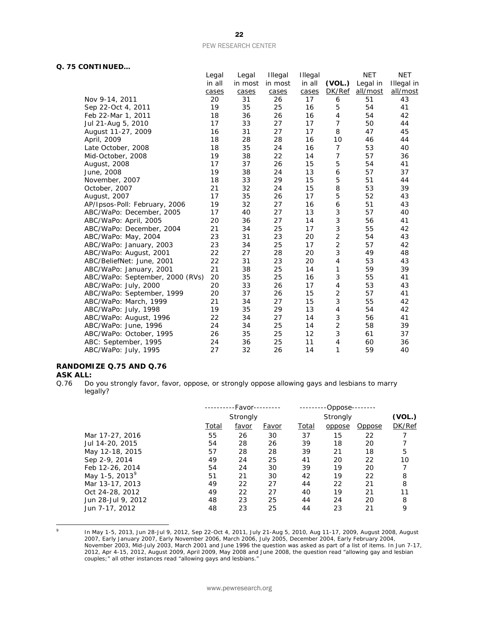#### **Q. 75 CONTINUED…**

|                                 | Legal  | Legal   | <b>Illegal</b> | <b>Illegal</b> |                | <b>NET</b> | <b>NET</b> |
|---------------------------------|--------|---------|----------------|----------------|----------------|------------|------------|
|                                 | in all | in most | in most        | in all         | (VOL.)         | Legal in   | Illegal in |
|                                 | cases  | cases   | cases          | cases          | DK/Ref         | all/most   | all/most   |
| Nov 9-14, 2011                  | 20     | 31      | 26             | 17             | 6              | 51         | 43         |
| Sep 22-Oct 4, 2011              | 19     | 35      | 25             | 16             | 5              | 54         | 41         |
| Feb 22-Mar 1, 2011              | 18     | 36      | 26             | 16             | 4              | 54         | 42         |
| Jul 21-Aug 5, 2010              | 17     | 33      | 27             | 17             | $\overline{7}$ | 50         | 44         |
| August 11-27, 2009              | 16     | 31      | 27             | 17             | 8              | 47         | 45         |
| April, 2009                     | 18     | 28      | 28             | 16             | 10             | 46         | 44         |
| Late October, 2008              | 18     | 35      | 24             | 16             | 7              | 53         | 40         |
| Mid-October, 2008               | 19     | 38      | 22             | 14             | 7              | 57         | 36         |
| August, 2008                    | 17     | 37      | 26             | 15             | 5              | 54         | 41         |
| June, 2008                      | 19     | 38      | 24             | 13             | 6              | 57         | 37         |
| November, 2007                  | 18     | 33      | 29             | 15             | 5              | 51         | 44         |
| October, 2007                   | 21     | 32      | 24             | 15             | 8              | 53         | 39         |
| August, 2007                    | 17     | 35      | 26             | 17             | 5              | 52         | 43         |
| AP/Ipsos-Poll: February, 2006   | 19     | 32      | 27             | 16             | 6              | 51         | 43         |
| ABC/WaPo: December, 2005        | 17     | 40      | 27             | 13             | 3              | 57         | 40         |
| ABC/WaPo: April, 2005           | 20     | 36      | 27             | 14             | 3              | 56         | 41         |
| ABC/WaPo: December, 2004        | 21     | 34      | 25             | 17             | 3              | 55         | 42         |
| ABC/WaPo: May, 2004             | 23     | 31      | 23             | 20             | 2              | 54         | 43         |
| ABC/WaPo: January, 2003         | 23     | 34      | 25             | 17             | 2              | 57         | 42         |
| ABC/WaPo: August, 2001          | 22     | 27      | 28             | 20             | 3              | 49         | 48         |
| ABC/BeliefNet: June, 2001       | 22     | 31      | 23             | 20             | 4              | 53         | 43         |
| ABC/WaPo: January, 2001         | 21     | 38      | 25             | 14             | 1              | 59         | 39         |
| ABC/WaPo: September, 2000 (RVs) | 20     | 35      | 25             | 16             | 3              | 55         | 41         |
| ABC/WaPo: July, 2000            | 20     | 33      | 26             | 17             | 4              | 53         | 43         |
| ABC/WaPo: September, 1999       | 20     | 37      | 26             | 15             | 2              | 57         | 41         |
| ABC/WaPo: March, 1999           | 21     | 34      | 27             | 15             | 3              | 55         | 42         |
| ABC/WaPo: July, 1998            | 19     | 35      | 29             | 13             | 4              | 54         | 42         |
| ABC/WaPo: August, 1996          | 22     | 34      | 27             | 14             | 3              | 56         | 41         |
| ABC/WaPo: June, 1996            | 24     | 34      | 25             | 14             | 2              | 58         | 39         |
| ABC/WaPo: October, 1995         | 26     | 35      | 25             | 12             | 3              | 61         | 37         |
| ABC: September, 1995            | 24     | 36      | 25             | 11             | 4              | 60         | 36         |
| ABC/WaPo: July, 1995            | 27     | 32      | 26             | 14             | 1              | 59         | 40         |
|                                 |        |         |                |                |                |            |            |

### **RANDOMIZE Q.75 AND Q.76**

# **ASK ALL:**<br>0.76 Do

Do you strongly favor, favor, oppose, or strongly oppose allowing gays and lesbians to marry legally?

|                            |       | -Favor-<br>Strongly |              |       | -Oppose-<br>Strongly |               |        |
|----------------------------|-------|---------------------|--------------|-------|----------------------|---------------|--------|
|                            |       |                     |              |       |                      |               |        |
|                            | Total | <u>favor</u>        | <u>Favor</u> | Total | oppose               | <u>Oppose</u> | DK/Ref |
| Mar 17-27, 2016            | 55    | 26                  | 30           | 37    | 15                   | 22            |        |
| Jul 14-20, 2015            | 54    | 28                  | 26           | 39    | 18                   | 20            |        |
| May 12-18, 2015            | 57    | 28                  | 28           | 39    | 21                   | 18            | 5      |
| Sep 2-9, 2014              | 49    | 24                  | 25           | 41    | 20                   | 22            | 10     |
| Feb 12-26, 2014            | 54    | 24                  | 30           | 39    | 19                   | 20            | 7      |
| May 1-5, 2013 <sup>9</sup> | 51    | 21                  | 30           | 42    | 19                   | 22            | 8      |
| Mar 13-17, 2013            | 49    | 22                  | 27           | 44    | 22                   | 21            | 8      |
| Oct 24-28, 2012            | 49    | 22                  | 27           | 40    | 19                   | 21            | 11     |
| Jun 28-Jul 9, 2012         | 48    | 23                  | 25           | 44    | 24                   | 20            | 8      |
| Jun 7-17, 2012             | 48    | 23                  | 25           | 44    | 23                   | 21            | 9      |
|                            |       |                     |              |       |                      |               |        |

<span id="page-21-0"></span> $\circ$ 

 $^{9}$  In May 1-5, 2013, Jun 28-Jul 9, 2012, Sep 22-Oct 4, 2011, July 21-Aug 5, 2010, Aug 11-17, 2009, August 2008, August 2007, Early January 2007, Early November 2006, March 2006, July 2005, December 2004, Early February 2004, November 2003, Mid-July 2003, March 2001 and June 1996 the question was asked as part of a list of items. In Jun 7-17, 2012, Apr 4-15, 2012, August 2009, April 2009, May 2008 and June 2008, the question read "allowing gay and lesbian couples;" all other instances read "allowing gays and lesbians."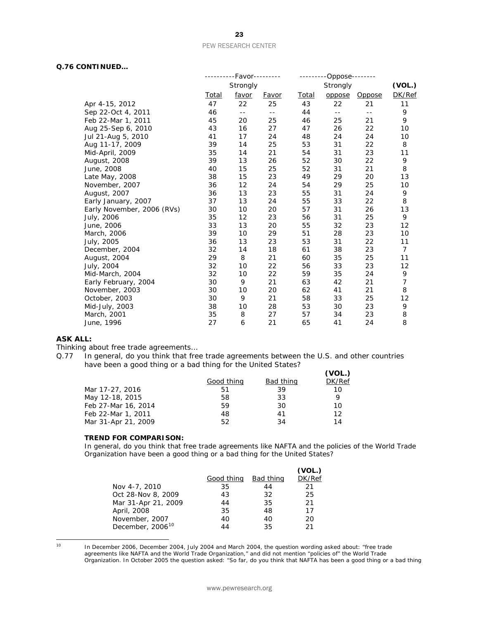#### **Q.76 CONTINUED…**

|                            |       | --------Favor---------                        |              | -------      | $-Oppose$ -------- |               |                |
|----------------------------|-------|-----------------------------------------------|--------------|--------------|--------------------|---------------|----------------|
|                            |       | Strongly                                      |              | Strongly     |                    |               | (VOL.)         |
|                            | Total | favor                                         | <u>Favor</u> | <b>Total</b> | oppose             | <b>Oppose</b> | DK/Ref         |
| Apr 4-15, 2012             | 47    | 22                                            | 25           | 43           | 22                 | 21            | 11             |
| Sep 22-Oct 4, 2011         | 46    | $\mathord{\hspace{1pt}\text{--}\hspace{1pt}}$ | $- -$        | 44           | $- -$              | $- -$         | 9              |
| Feb 22-Mar 1, 2011         | 45    | 20                                            | 25           | 46           | 25                 | 21            | 9              |
| Aug 25-Sep 6, 2010         | 43    | 16                                            | 27           | 47           | 26                 | 22            | 10             |
| Jul 21-Aug 5, 2010         | 41    | 17                                            | 24           | 48           | 24                 | 24            | 10             |
| Aug 11-17, 2009            | 39    | 14                                            | 25           | 53           | 31                 | 22            | 8              |
| Mid-April, 2009            | 35    | 14                                            | 21           | 54           | 31                 | 23            | 11             |
| August, 2008               | 39    | 13                                            | 26           | 52           | 30                 | 22            | 9              |
| June, 2008                 | 40    | 15                                            | 25           | 52           | 31                 | 21            | 8              |
| Late May, 2008             | 38    | 15                                            | 23           | 49           | 29                 | 20            | 13             |
| November, 2007             | 36    | 12                                            | 24           | 54           | 29                 | 25            | 10             |
| August, 2007               | 36    | 13                                            | 23           | 55           | 31                 | 24            | 9              |
| Early January, 2007        | 37    | 13                                            | 24           | 55           | 33                 | 22            | 8              |
| Early November, 2006 (RVs) | 30    | 10                                            | 20           | 57           | 31                 | 26            | 13             |
| July, 2006                 | 35    | 12                                            | 23           | 56           | 31                 | 25            | 9              |
| June, 2006                 | 33    | 13                                            | 20           | 55           | 32                 | 23            | 12             |
| March, 2006                | 39    | 10                                            | 29           | 51           | 28                 | 23            | 10             |
| July, 2005                 | 36    | 13                                            | 23           | 53           | 31                 | 22            | 11             |
| December, 2004             | 32    | 14                                            | 18           | 61           | 38                 | 23            | $\overline{7}$ |
| August, 2004               | 29    | 8                                             | 21           | 60           | 35                 | 25            | 11             |
| July, 2004                 | 32    | 10                                            | 22           | 56           | 33                 | 23            | 12             |
| Mid-March, 2004            | 32    | 10                                            | 22           | 59           | 35                 | 24            | 9              |
| Early February, 2004       | 30    | 9                                             | 21           | 63           | 42                 | 21            | 7              |
| November, 2003             | 30    | 10                                            | 20           | 62           | 41                 | 21            | 8              |
| October, 2003              | 30    | 9                                             | 21           | 58           | 33                 | 25            | 12             |
| Mid-July, 2003             | 38    | 10                                            | 28           | 53           | 30                 | 23            | 9              |
| March, 2001                | 35    | 8                                             | 27           | 57           | 34                 | 23            | 8              |
| June, 1996                 | 27    | 6                                             | 21           | 65           | 41                 | 24            | 8              |

#### **ASK ALL:**

Thinking about free trade agreements…

Q.77 In general, do you think that free trade agreements between the U.S. and other countries have been a good thing or a bad thing for the United States?  $\overline{N}$ 

|            |                  | (VOL.) |
|------------|------------------|--------|
| Good thing | <b>Bad thing</b> | DK/Ref |
| 51         | 39               | 10     |
| 58         | 33               |        |
| 59         | 30               | 10     |
| 48         | 41               | 12     |
| 52         | 34               | 14     |
|            |                  |        |

#### **TREND FOR COMPARISON:**

*In general, do you think that free trade agreements like NAFTA and the policies of the World Trade Organization have been a good thing or a bad thing for the United States?*

|                              |            |           | (VOL.) |
|------------------------------|------------|-----------|--------|
|                              | Good thing | Bad thing | DK/Ref |
| Nov 4-7, 2010                | 35         | 44        | 21     |
| Oct 28-Nov 8, 2009           | 43         | 32        | 25     |
| Mar 31-Apr 21, 2009          | 44         | 35        | 21     |
| April, 2008                  | 35         | 48        | 17     |
| November, 2007               | 40         | 40        | 20     |
| December, 2006 <sup>10</sup> | 44         | 35        | 21     |

<span id="page-22-0"></span> $10<sup>10</sup>$ 

<sup>10</sup> In December 2006, December 2004, July 2004 and March 2004, the question wording asked about: "free trade agreements like NAFTA and the World Trade Organization," and did not mention "policies of" the World Trade Organization. In October 2005 the question asked: "So far, do you think that NAFTA has been a good thing or a bad thing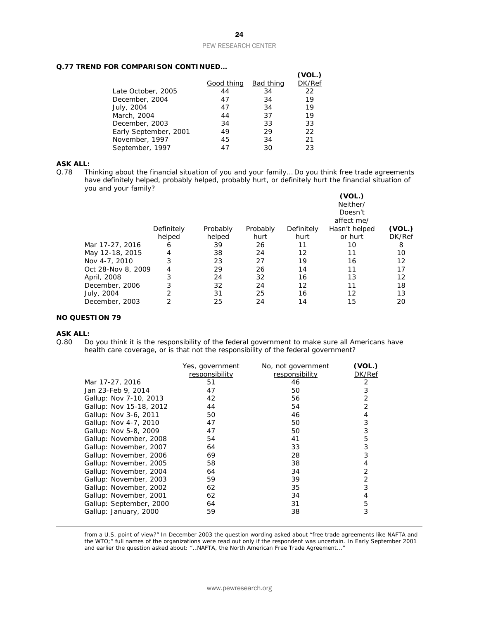#### **Q.77 TREND FOR COMPARISON CONTINUED…**

|                       |            |                  | (VOL.) |
|-----------------------|------------|------------------|--------|
|                       | Good thing | <b>Bad thing</b> | DK/Ref |
| Late October, 2005    | 44         | 34               | 22     |
| December, 2004        | 47         | 34               | 19     |
| July, 2004            | 47         | 34               | 19     |
| March, 2004           | 44         | 37               | 19     |
| December, 2003        | 34         | 33               | 33     |
| Early September, 2001 | 49         | 29               | 22     |
| November, 1997        | 45         | 34               | 21     |
| September, 1997       | 47         | 30               | 23     |

# **ASK ALL:**<br>Q.78 Th

Thinking about the financial situation of you and your family... Do you think free trade agreements have definitely helped, probably helped, probably hurt, or definitely hurt the financial situation of you and your family?

|                    |            |          |             |            | (VOL.)<br>Neither/<br>Doesn't<br>affect me/ |        |
|--------------------|------------|----------|-------------|------------|---------------------------------------------|--------|
|                    | Definitely | Probably | Probably    | Definitely | Hasn't helped                               | (VOL.) |
|                    | helped     | helped   | <u>hurt</u> | hurt       | or hurt                                     | DK/Ref |
| Mar 17-27, 2016    | 6          | 39       | 26          | 11         | 10                                          | 8      |
| May 12-18, 2015    | 4          | 38       | 24          | 12         | 11                                          | 10     |
| Nov 4-7, 2010      | 3          | 23       | 27          | 19         | 16                                          | 12     |
| Oct 28-Nov 8, 2009 | 4          | 29       | 26          | 14         | 11                                          | 17     |
| April, 2008        | 3          | 24       | 32          | 16         | 13                                          | 12     |
| December, 2006     | 3          | 32       | 24          | 12         | 11                                          | 18     |
| July, 2004         | 2          | 31       | 25          | 16         | 12                                          | 13     |
| December, 2003     | 2          | 25       | 24          | 14         | 15                                          | 20     |

#### **NO QUESTION 79**

#### **ASK ALL:**

1

Q.80 Do you think it is the responsibility of the federal government to make sure all Americans have health care coverage, or is that not the responsibility of the federal government?

|                         | Yes, government | No, not government | (VOL.) |
|-------------------------|-----------------|--------------------|--------|
|                         | responsibility  | responsibility     | DK/Ref |
| Mar 17-27, 2016         | 51              | 46                 | 2      |
| Jan 23-Feb 9, 2014      | 47              | 50                 | 3      |
| Gallup: Nov 7-10, 2013  | 42              | 56                 | 2      |
| Gallup: Nov 15-18, 2012 | 44              | 54                 | 2      |
| Gallup: Nov 3-6, 2011   | 50              | 46                 | 4      |
| Gallup: Nov 4-7, 2010   | 47              | 50                 | 3      |
| Gallup: Nov 5-8, 2009   | 47              | 50                 | 3      |
| Gallup: November, 2008  | 54              | 41                 | 5      |
| Gallup: November, 2007  | 64              | 33                 | 3      |
| Gallup: November, 2006  | 69              | 28                 | 3      |
| Gallup: November, 2005  | 58              | 38                 | 4      |
| Gallup: November, 2004  | 64              | 34                 | 2      |
| Gallup: November, 2003  | 59              | 39                 | 2      |
| Gallup: November, 2002  | 62              | 35                 | 3      |
| Gallup: November, 2001  | 62              | 34                 | 4      |
| Gallup: September, 2000 | 64              | 31                 | 5      |
| Gallup: January, 2000   | 59              | 38                 | 3      |
|                         |                 |                    |        |

from a U.S. point of view?" In December 2003 the question wording asked about "free trade agreements like NAFTA and the WTO;" full names of the organizations were read out only if the respondent was uncertain. In Early September 2001 and earlier the question asked about: "…NAFTA, the North American Free Trade Agreement..."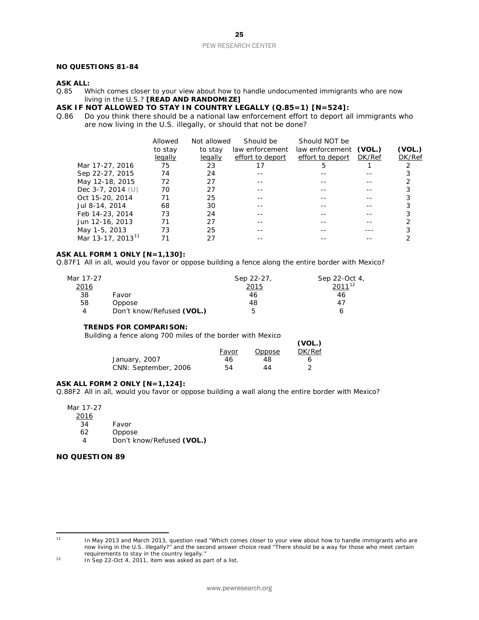#### **NO QUESTIONS 81-84**

# **ASK ALL:**<br>0.85 W

Which comes closer to your view about how to handle undocumented immigrants who are now living in the U.S.? **[READ AND RANDOMIZE]**

# **ASK IF NOT ALLOWED TO STAY IN COUNTRY LEGALLY (Q.85=1) [N=524]:**<br>Q.86 Do you think there should be a national law enforcement effort to deport all

Do you think there should be a national law enforcement effort to deport all immigrants who are now living in the U.S. illegally, or should that not be done?

|                               | Allowed | Not allowed | Should be        | <b>Should NOT be</b>   |               |        |
|-------------------------------|---------|-------------|------------------|------------------------|---------------|--------|
|                               | to stay | to stay     | law enforcement  | law enforcement (VOL.) |               | (VOL.) |
|                               | legally | legally     | effort to deport | effort to deport       | <i>DK/Ref</i> | DK/Ref |
| Mar 17-27, 2016               | 75      | 23          | 17               | 5                      |               |        |
| Sep 22-27, 2015               | 74      | 24          |                  |                        |               |        |
| May 12-18, 2015               | 72      | 27          |                  |                        |               |        |
| Dec $3-7$ , 2014 (U)          | 70      | 27          |                  |                        |               |        |
| Oct 15-20, 2014               | 71      | 25          |                  |                        |               |        |
| Jul 8-14, 2014                | 68      | 30          |                  |                        |               |        |
| Feb 14-23, 2014               | 73      | 24          |                  |                        |               |        |
| Jun 12-16, 2013               | 71      | 27          |                  |                        |               |        |
| May 1-5, 2013                 | 73      | 25          |                  |                        |               |        |
| Mar 13-17, 2013 <sup>11</sup> |         |             |                  |                        |               |        |

**(VOL.)**

#### **ASK ALL FORM 1 ONLY [N=1,130]:**

Q.87F1 All in all, would you favor or oppose building a fence along the entire border with Mexico?

| Mar 17-27    |                           | Sep 22-27, | Sep 22-Oct 4, |
|--------------|---------------------------|------------|---------------|
| <u> 2016</u> |                           | 2015       | $2011^{12}$   |
| 38           | Favor                     | 46         | 46            |
| 58           | Oppose                    | 48         | 47            |
| 4            | Don't know/Refused (VOL.) | ь          | h             |

#### **TRENDS FOR COMPARISON:**

*Building a fence along 700 miles of the border with Mexico*

|                      |       |        | (VOL.) |
|----------------------|-------|--------|--------|
|                      | Favor | Oppose | DK/Ref |
| January, 2007        | 46    | 48     | h      |
| CNN: September, 2006 | 54    | 44     |        |

#### **ASK ALL FORM 2 ONLY [N=1,124]:**

Q.88F2 All in all, would you favor or oppose building a wall along the entire border with Mexico?

Mar 17-27

2016

- 34 Favor<br>62 Oppos
- 62 Oppose<br>4 Don't kr

4 Don't know/Refused **(VOL.)**

#### **NO QUESTION 89**

<span id="page-24-0"></span> $11$ 

In May 2013 and March 2013, question read "Which comes closer to your view about how to handle immigrants who are now living in the U.S. illegally?" and the second answer choice read "There should be a way for those who meet certain requirements to stay in the country legally."

<span id="page-24-1"></span><sup>12</sup> In Sep 22-Oct 4, 2011, item was asked as part of a list.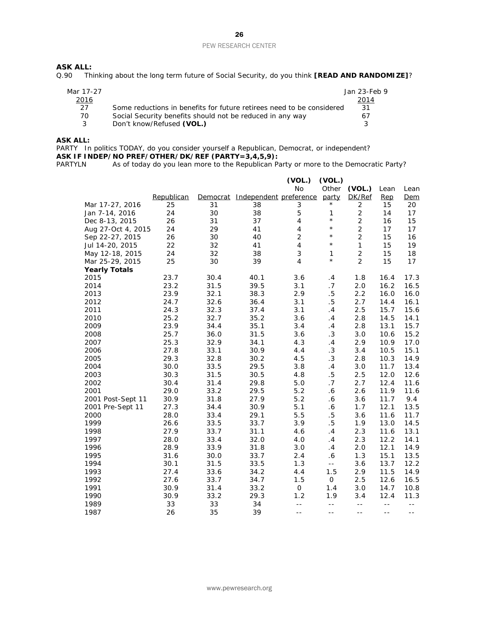# **ASK ALL:**<br>Q.90 Th

Thinking about the long term future of Social Security, do you think **[READ AND RANDOMIZE]**?

| Mar 17-27   |                                                                       | Jan 23-Feb 9  |
|-------------|-----------------------------------------------------------------------|---------------|
| <u>2016</u> |                                                                       | <u> 2014 </u> |
| 27          | Some reductions in benefits for future retirees need to be considered | -31           |
| 70.         | Social Security benefits should not be reduced in any way             | 67            |
|             | Don't know/Refused (VOL.)                                             | 2             |

#### **ASK ALL:**

PARTY In politics TODAY, do you consider yourself a Republican, Democrat, or independent? **ASK IF INDEP/NO PREF/OTHER/DK/REF (PARTY=3,4,5,9):**<br>PARTYLN As of today do you lean more to the Republican Pa

As of today do you lean more to the Republican Party or more to the Democratic Party?

|                      |            |          |                        | (VOL.)                  | (VOL.)     |                |      |      |
|----------------------|------------|----------|------------------------|-------------------------|------------|----------------|------|------|
|                      |            |          |                        | No                      | Other      | (VOL.)         | Lean | Lean |
|                      | Republican | Democrat | Independent preference |                         | party      | DK/Ref         | Rep  | Dem  |
| Mar 17-27, 2016      | 25         | 31       | 38                     | 3                       | $^\star$   | $\overline{2}$ | 15   | 20   |
| Jan 7-14, 2016       | 24         | 30       | 38                     | 5                       | 1          | $\overline{2}$ | 14   | 17   |
| Dec 8-13, 2015       | 26         | 31       | 37                     | $\overline{4}$          | $^\star$   | $\overline{2}$ | 16   | 15   |
| Aug 27-Oct 4, 2015   | 24         | 29       | 41                     | $\overline{4}$          | $^{\star}$ | $\overline{2}$ | 17   | 17   |
| Sep 22-27, 2015      | 26         | 30       | 40                     | $\overline{2}$          | $^{\star}$ | $\overline{2}$ | 15   | 16   |
| Jul 14-20, 2015      | 22         | 32       | 41                     | $\overline{\mathbf{4}}$ | $^{\star}$ | $\mathbf{1}$   | 15   | 19   |
| May 12-18, 2015      | 24         | 32       | 38                     | 3                       | 1          | $\overline{2}$ | 15   | 18   |
| Mar 25-29, 2015      | 25         | 30       | 39                     | 4                       | $^{\star}$ | $\overline{2}$ | 15   | 17   |
| <b>Yearly Totals</b> |            |          |                        |                         |            |                |      |      |
| 2015                 | 23.7       | 30.4     | 40.1                   | 3.6                     | .4         | 1.8            | 16.4 | 17.3 |
| 2014                 | 23.2       | 31.5     | 39.5                   | 3.1                     | .7         | 2.0            | 16.2 | 16.5 |
| 2013                 | 23.9       | 32.1     | 38.3                   | 2.9                     | $.5\,$     | 2.2            | 16.0 | 16.0 |
| 2012                 | 24.7       | 32.6     | 36.4                   | 3.1                     | $.5\,$     | 2.7            | 14.4 | 16.1 |
| 2011                 | 24.3       | 32.3     | 37.4                   | 3.1                     | .4         | $2.5\,$        | 15.7 | 15.6 |
| 2010                 | 25.2       | 32.7     | 35.2                   | 3.6                     | .4         | 2.8            | 14.5 | 14.1 |
| 2009                 | 23.9       | 34.4     | 35.1                   | 3.4                     | .4         | 2.8            | 13.1 | 15.7 |
| 2008                 | 25.7       | 36.0     | 31.5                   | 3.6                     | $\cdot$ 3  | 3.0            | 10.6 | 15.2 |
| 2007                 | 25.3       | 32.9     | 34.1                   | 4.3                     | .4         | 2.9            | 10.9 | 17.0 |
| 2006                 | 27.8       | 33.1     | 30.9                   | 4.4                     | .3         | 3.4            | 10.5 | 15.1 |
| 2005                 | 29.3       | 32.8     | 30.2                   | 4.5                     | $\cdot$ 3  | 2.8            | 10.3 | 14.9 |
| 2004                 | 30.0       | 33.5     | 29.5                   | 3.8                     | .4         | 3.0            | 11.7 | 13.4 |
| 2003                 | 30.3       | 31.5     | 30.5                   | 4.8                     | .5         | 2.5            | 12.0 | 12.6 |
| 2002                 | 30.4       | 31.4     | 29.8                   | 5.0                     | .7         | 2.7            | 12.4 | 11.6 |
| 2001                 | 29.0       | 33.2     | 29.5                   | 5.2                     | .6         | 2.6            | 11.9 | 11.6 |
| 2001 Post-Sept 11    | 30.9       | 31.8     | 27.9                   | 5.2                     | .6         | 3.6            | 11.7 | 9.4  |
| 2001 Pre-Sept 11     | 27.3       | 34.4     | 30.9                   | 5.1                     | .6         | 1.7            | 12.1 | 13.5 |
| 2000                 | 28.0       | 33.4     | 29.1                   | 5.5                     | $.5\,$     | 3.6            | 11.6 | 11.7 |
| 1999                 | 26.6       | 33.5     | 33.7                   | 3.9                     | $.5\,$     | 1.9            | 13.0 | 14.5 |
| 1998                 | 27.9       | 33.7     | 31.1                   | 4.6                     | .4         | 2.3            | 11.6 | 13.1 |
| 1997                 | 28.0       | 33.4     | 32.0                   | 4.0                     | .4         | 2.3            | 12.2 | 14.1 |
| 1996                 | 28.9       | 33.9     | 31.8                   | 3.0                     | .4         | 2.0            | 12.1 | 14.9 |
| 1995                 | 31.6       | 30.0     | 33.7                   | 2.4                     | .6         | 1.3            | 15.1 | 13.5 |
| 1994                 | 30.1       | 31.5     | 33.5                   | 1.3                     | $-1$       | 3.6            | 13.7 | 12.2 |
| 1993                 | 27.4       | 33.6     | 34.2                   | 4.4                     | 1.5        | 2.9            | 11.5 | 14.9 |
| 1992                 | 27.6       | 33.7     | 34.7                   | 1.5                     | 0          | 2.5            | 12.6 | 16.5 |
| 1991                 | 30.9       | 31.4     | 33.2                   | 0                       | 1.4        | 3.0            | 14.7 | 10.8 |
| 1990                 | 30.9       | 33.2     | 29.3                   | 1.2                     | 1.9        | 3.4            | 12.4 | 11.3 |
| 1989                 | 33         | 33       | 34                     | $- -$                   | $- -$      | $\sim$ $\sim$  | $-$  | $-$  |
| 1987                 | 26         | 35       | 39                     | $ -$                    | $ -$       | $- -$          | $ -$ | $ -$ |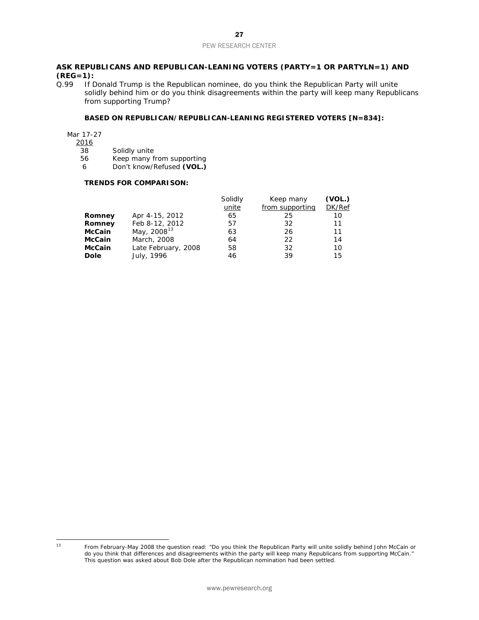# **ASK REPUBLICANS AND REPUBLICAN-LEANING VOTERS (PARTY=1 OR PARTYLN=1) AND (REG=1):**<br>0.99 If D

If Donald Trump is the Republican nominee, do you think the Republican Party will unite solidly behind him or do you think disagreements within the party will keep many Republicans from supporting Trump?

#### **BASED ON REPUBLICAN/REPUBLICAN-LEANING REGISTERED VOTERS [N=834]:**

Mar 17-27

 $\frac{2016}{38}$ 

- 
- 38 Solidly unite<br>56 Keep many f Keep many from supporting
- 6 Don't know/Refused **(VOL.)**

#### **TRENDS FOR COMPARISON:**

|               |                         | Solidly | Keep many       | (VOL.) |
|---------------|-------------------------|---------|-----------------|--------|
|               |                         | unite   | from supporting | DK/Ref |
| Romney        | Apr 4-15, 2012          | 65      | 25              | 10     |
| Romney        | Feb 8-12, 2012          | 57      | 32              | 11     |
| <b>McCain</b> | May, 2008 <sup>13</sup> | 63      | 26              | 11     |
| <b>McCain</b> | March, 2008             | 64      | 22              | 14     |
| <b>McCain</b> | Late February, 2008     | 58      | 32              | 10     |
| <b>Dole</b>   | July, 1996              | 46      | 39              | 15     |

<span id="page-26-0"></span> $13$ 

<sup>13</sup> From February-May 2008 the question read: "Do you think the Republican Party will unite solidly behind John McCain or do you think that differences and disagreements within the party will keep many Republicans from supporting McCain." This question was asked about Bob Dole after the Republican nomination had been settled.